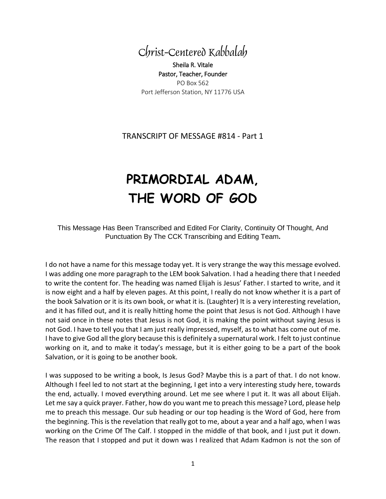

Sheila R. Vitale Pastor, Teacher, Founder PO Box 562 Port Jefferson Station, NY 11776 USA

## TRANSCRIPT OF MESSAGE #814 - Part 1

## **PRIMORDIAL ADAM, THE WORD OF GOD**

This Message Has Been Transcribed and Edited For Clarity, Continuity Of Thought, And Punctuation By The CCK Transcribing and Editing Team**.**

I do not have a name for this message today yet. It is very strange the way this message evolved. I was adding one more paragraph to the LEM book Salvation. I had a heading there that I needed to write the content for. The heading was named Elijah is Jesus' Father. I started to write, and it is now eight and a half by eleven pages. At this point, I really do not know whether it is a part of the book Salvation or it is its own book, or what it is. (Laughter) It is a very interesting revelation, and it has filled out, and it is really hitting home the point that Jesus is not God. Although I have not said once in these notes that Jesus is not God, it is making the point without saying Jesus is not God. I have to tell you that I am just really impressed, myself, as to what has come out of me. I have to give God all the glory because this is definitely a supernatural work. I felt to just continue working on it, and to make it today's message, but it is either going to be a part of the book Salvation, or it is going to be another book.

I was supposed to be writing a book, Is Jesus God? Maybe this is a part of that. I do not know. Although I feel led to not start at the beginning, I get into a very interesting study here, towards the end, actually. I moved everything around. Let me see where I put it. It was all about Elijah. Let me say a quick prayer. Father, how do you want me to preach this message? Lord, please help me to preach this message. Our sub heading or our top heading is the Word of God, here from the beginning. This is the revelation that really got to me, about a year and a half ago, when I was working on the Crime Of The Calf. I stopped in the middle of that book, and I just put it down. The reason that I stopped and put it down was I realized that Adam Kadmon is not the son of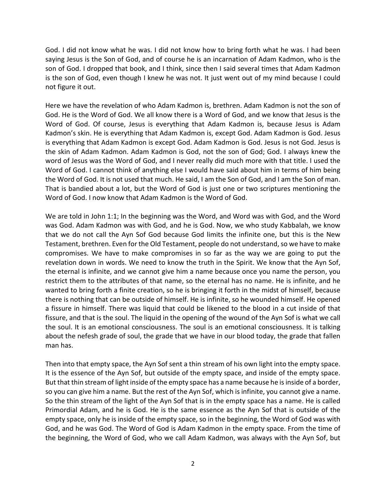God. I did not know what he was. I did not know how to bring forth what he was. I had been saying Jesus is the Son of God, and of course he is an incarnation of Adam Kadmon, who is the son of God. I dropped that book, and I think, since then I said several times that Adam Kadmon is the son of God, even though I knew he was not. It just went out of my mind because I could not figure it out.

Here we have the revelation of who Adam Kadmon is, brethren. Adam Kadmon is not the son of God. He is the Word of God. We all know there is a Word of God, and we know that Jesus is the Word of God. Of course, Jesus is everything that Adam Kadmon is, because Jesus is Adam Kadmon's skin. He is everything that Adam Kadmon is, except God. Adam Kadmon is God. Jesus is everything that Adam Kadmon is except God. Adam Kadmon is God. Jesus is not God. Jesus is the skin of Adam Kadmon. Adam Kadmon is God, not the son of God; God. I always knew the word of Jesus was the Word of God, and I never really did much more with that title. I used the Word of God. I cannot think of anything else I would have said about him in terms of him being the Word of God. It is not used that much. He said, I am the Son of God, and I am the Son of man. That is bandied about a lot, but the Word of God is just one or two scriptures mentioning the Word of God. I now know that Adam Kadmon is the Word of God.

We are told in John 1:1; In the beginning was the Word, and Word was with God, and the Word was God. Adam Kadmon was with God, and he is God. Now, we who study Kabbalah, we know that we do not call the Ayn Sof God because God limits the infinite one, but this is the New Testament, brethren. Even for the Old Testament, people do not understand, so we have to make compromises. We have to make compromises in so far as the way we are going to put the revelation down in words. We need to know the truth in the Spirit. We know that the Ayn Sof, the eternal is infinite, and we cannot give him a name because once you name the person, you restrict them to the attributes of that name, so the eternal has no name. He is infinite, and he wanted to bring forth a finite creation, so he is bringing it forth in the midst of himself, because there is nothing that can be outside of himself. He is infinite, so he wounded himself. He opened a fissure in himself. There was liquid that could be likened to the blood in a cut inside of that fissure, and that is the soul. The liquid in the opening of the wound of the Ayn Sof is what we call the soul. It is an emotional consciousness. The soul is an emotional consciousness. It is talking about the nefesh grade of soul, the grade that we have in our blood today, the grade that fallen man has.

Then into that empty space, the Ayn Sof sent a thin stream of his own light into the empty space. It is the essence of the Ayn Sof, but outside of the empty space, and inside of the empty space. But that thin stream of light inside of the empty space has a name because he is inside of a border, so you can give him a name. But the rest of the Ayn Sof, which is infinite, you cannot give a name. So the thin stream of the light of the Ayn Sof that is in the empty space has a name. He is called Primordial Adam, and he is God. He is the same essence as the Ayn Sof that is outside of the empty space, only he is inside of the empty space, so in the beginning, the Word of God was with God, and he was God. The Word of God is Adam Kadmon in the empty space. From the time of the beginning, the Word of God, who we call Adam Kadmon, was always with the Ayn Sof, but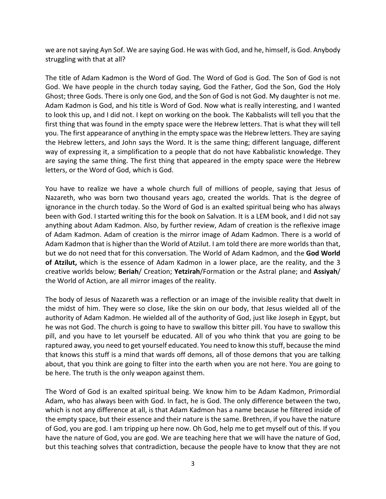we are not saying Ayn Sof. We are saying God. He was with God, and he, himself, is God. Anybody struggling with that at all?

The title of Adam Kadmon is the Word of God. The Word of God is God. The Son of God is not God. We have people in the church today saying, God the Father, God the Son, God the Holy Ghost; three Gods. There is only one God, and the Son of God is not God. My daughter is not me. Adam Kadmon is God, and his title is Word of God. Now what is really interesting, and I wanted to look this up, and I did not. I kept on working on the book. The Kabbalists will tell you that the first thing that was found in the empty space were the Hebrew letters. That is what they will tell you. The first appearance of anything in the empty space was the Hebrew letters. They are saying the Hebrew letters, and John says the Word. It is the same thing; different language, different way of expressing it, a simplification to a people that do not have Kabbalistic knowledge. They are saying the same thing. The first thing that appeared in the empty space were the Hebrew letters, or the Word of God, which is God.

You have to realize we have a whole church full of millions of people, saying that Jesus of Nazareth, who was born two thousand years ago, created the worlds. That is the degree of ignorance in the church today. So the Word of God is an exalted spiritual being who has always been with God. I started writing this for the book on Salvation. It is a LEM book, and I did not say anything about Adam Kadmon. Also, by further review, Adam of creation is the reflexive image of Adam Kadmon. Adam of creation is the mirror image of Adam Kadmon. There is a world of Adam Kadmon that is higher than the World of Atzilut. I am told there are more worlds than that, but we do not need that for this conversation. The World of Adam Kadmon, and the **God World of Atzilut,** which is the essence of Adam Kadmon in a lower place, are the reality, and the 3 creative worlds below; **Beriah**/ Creation; **Yetzirah**/Formation or the Astral plane; and **Assiyah**/ the World of Action, are all mirror images of the reality.

The body of Jesus of Nazareth was a reflection or an image of the invisible reality that dwelt in the midst of him. They were so close, like the skin on our body, that Jesus wielded all of the authority of Adam Kadmon. He wielded all of the authority of God, just like Joseph in Egypt, but he was not God. The church is going to have to swallow this bitter pill. You have to swallow this pill, and you have to let yourself be educated. All of you who think that you are going to be raptured away, you need to get yourself educated. You need to know this stuff, because the mind that knows this stuff is a mind that wards off demons, all of those demons that you are talking about, that you think are going to filter into the earth when you are not here. You are going to be here. The truth is the only weapon against them.

The Word of God is an exalted spiritual being. We know him to be Adam Kadmon, Primordial Adam, who has always been with God. In fact, he is God. The only difference between the two, which is not any difference at all, is that Adam Kadmon has a name because he filtered inside of the empty space, but their essence and their nature is the same. Brethren, if you have the nature of God, you are god. I am tripping up here now. Oh God, help me to get myself out of this. If you have the nature of God, you are god. We are teaching here that we will have the nature of God, but this teaching solves that contradiction, because the people have to know that they are not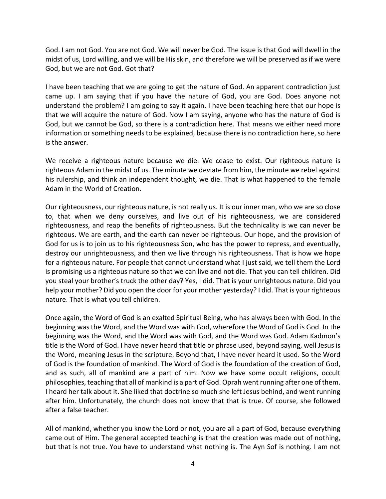God. I am not God. You are not God. We will never be God. The issue is that God will dwell in the midst of us, Lord willing, and we will be His skin, and therefore we will be preserved as if we were God, but we are not God. Got that?

I have been teaching that we are going to get the nature of God. An apparent contradiction just came up. I am saying that if you have the nature of God, you are God. Does anyone not understand the problem? I am going to say it again. I have been teaching here that our hope is that we will acquire the nature of God. Now I am saying, anyone who has the nature of God is God, but we cannot be God, so there is a contradiction here. That means we either need more information or something needs to be explained, because there is no contradiction here, so here is the answer.

We receive a righteous nature because we die. We cease to exist. Our righteous nature is righteous Adam in the midst of us. The minute we deviate from him, the minute we rebel against his rulership, and think an independent thought, we die. That is what happened to the female Adam in the World of Creation.

Our righteousness, our righteous nature, is not really us. It is our inner man, who we are so close to, that when we deny ourselves, and live out of his righteousness, we are considered righteousness, and reap the benefits of righteousness. But the technicality is we can never be righteous. We are earth, and the earth can never be righteous. Our hope, and the provision of God for us is to join us to his righteousness Son, who has the power to repress, and eventually, destroy our unrighteousness, and then we live through his righteousness. That is how we hope for a righteous nature. For people that cannot understand what I just said, we tell them the Lord is promising us a righteous nature so that we can live and not die. That you can tell children. Did you steal your brother's truck the other day? Yes, I did. That is your unrighteous nature. Did you help your mother? Did you open the door for your mother yesterday? I did. That is your righteous nature. That is what you tell children.

Once again, the Word of God is an exalted Spiritual Being, who has always been with God. In the beginning was the Word, and the Word was with God, wherefore the Word of God is God. In the beginning was the Word, and the Word was with God, and the Word was God. Adam Kadmon's title is the Word of God. I have never heard that title or phrase used, beyond saying, well Jesus is the Word, meaning Jesus in the scripture. Beyond that, I have never heard it used. So the Word of God is the foundation of mankind. The Word of God is the foundation of the creation of God, and as such, all of mankind are a part of him. Now we have some occult religions, occult philosophies, teaching that all of mankind is a part of God. Oprah went running after one of them. I heard her talk about it. She liked that doctrine so much she left Jesus behind, and went running after him. Unfortunately, the church does not know that that is true. Of course, she followed after a false teacher.

All of mankind, whether you know the Lord or not, you are all a part of God, because everything came out of Him. The general accepted teaching is that the creation was made out of nothing, but that is not true. You have to understand what nothing is. The Ayn Sof is nothing. I am not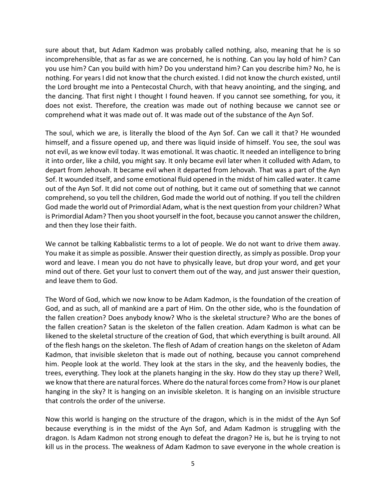sure about that, but Adam Kadmon was probably called nothing, also, meaning that he is so incomprehensible, that as far as we are concerned, he is nothing. Can you lay hold of him? Can you use him? Can you build with him? Do you understand him? Can you describe him? No, he is nothing. For years I did not know that the church existed. I did not know the church existed, until the Lord brought me into a Pentecostal Church, with that heavy anointing, and the singing, and the dancing. That first night I thought I found heaven. If you cannot see something, for you, it does not exist. Therefore, the creation was made out of nothing because we cannot see or comprehend what it was made out of. It was made out of the substance of the Ayn Sof.

The soul, which we are, is literally the blood of the Ayn Sof. Can we call it that? He wounded himself, and a fissure opened up, and there was liquid inside of himself. You see, the soul was not evil, as we know evil today. It was emotional. It was chaotic. It needed an intelligence to bring it into order, like a child, you might say. It only became evil later when it colluded with Adam, to depart from Jehovah. It became evil when it departed from Jehovah. That was a part of the Ayn Sof. It wounded itself, and some emotional fluid opened in the midst of him called water. It came out of the Ayn Sof. It did not come out of nothing, but it came out of something that we cannot comprehend, so you tell the children, God made the world out of nothing. If you tell the children God made the world out of Primordial Adam, what is the next question from your children? What is Primordial Adam? Then you shoot yourself in the foot, because you cannot answer the children, and then they lose their faith.

We cannot be talking Kabbalistic terms to a lot of people. We do not want to drive them away. You make it as simple as possible. Answer their question directly, as simply as possible. Drop your word and leave. I mean you do not have to physically leave, but drop your word, and get your mind out of there. Get your lust to convert them out of the way, and just answer their question, and leave them to God.

The Word of God, which we now know to be Adam Kadmon, is the foundation of the creation of God, and as such, all of mankind are a part of Him. On the other side, who is the foundation of the fallen creation? Does anybody know? Who is the skeletal structure? Who are the bones of the fallen creation? Satan is the skeleton of the fallen creation. Adam Kadmon is what can be likened to the skeletal structure of the creation of God, that which everything is built around. All of the flesh hangs on the skeleton. The flesh of Adam of creation hangs on the skeleton of Adam Kadmon, that invisible skeleton that is made out of nothing, because you cannot comprehend him. People look at the world. They look at the stars in the sky, and the heavenly bodies, the trees, everything. They look at the planets hanging in the sky. How do they stay up there? Well, we know that there are natural forces. Where do the natural forces come from? How is our planet hanging in the sky? It is hanging on an invisible skeleton. It is hanging on an invisible structure that controls the order of the universe.

Now this world is hanging on the structure of the dragon, which is in the midst of the Ayn Sof because everything is in the midst of the Ayn Sof, and Adam Kadmon is struggling with the dragon. Is Adam Kadmon not strong enough to defeat the dragon? He is, but he is trying to not kill us in the process. The weakness of Adam Kadmon to save everyone in the whole creation is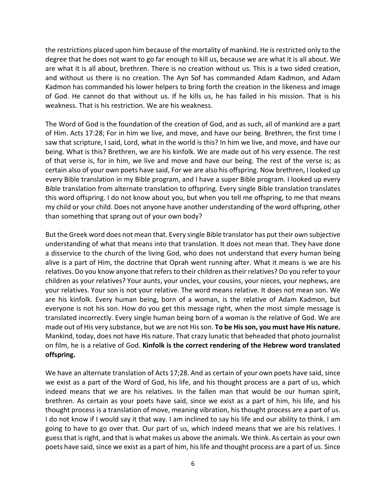the restrictions placed upon him because of the mortality of mankind. He is restricted only to the degree that he does not want to go far enough to kill us, because we are what it is all about. We are what it is all about, brethren. There is no creation without us. This is a two sided creation, and without us there is no creation. The Ayn Sof has commanded Adam Kadmon, and Adam Kadmon has commanded his lower helpers to bring forth the creation in the likeness and image of God. He cannot do that without us. If he kills us, he has failed in his mission. That is his weakness. That is his restriction. We are his weakness.

The Word of God is the foundation of the creation of God, and as such, all of mankind are a part of Him. Acts 17:28; For in him we live, and move, and have our being. Brethren, the first time I saw that scripture, I said, Lord, what in the world is this? In him we live, and move, and have our being. What is this? Brethren, we are his kinfolk. We are made out of his very essence. The rest of that verse is, for in him, we live and move and have our being. The rest of the verse is; as certain also of your own poets have said, For we are also his offspring. Now brethren, I looked up every Bible translation in my Bible program, and I have a super Bible program. I looked up every Bible translation from alternate translation to offspring. Every single Bible translation translates this word offspring. I do not know about you, but when you tell me offspring, to me that means my child or your child. Does not anyone have another understanding of the word offspring, other than something that sprang out of your own body?

But the Greek word does not mean that. Every single Bible translator has put their own subjective understanding of what that means into that translation. It does not mean that. They have done a disservice to the church of the living God, who does not understand that every human being alive is a part of Him, the doctrine that Oprah went running after. What it means is we are his relatives. Do you know anyone that refers to their children as their relatives? Do you refer to your children as your relatives? Your aunts, your uncles, your cousins, your nieces, your nephews, are your relatives. Your son is not your relative. The word means relative. It does not mean son. We are his kinfolk. Every human being, born of a woman, is the relative of Adam Kadmon, but everyone is not his son. How do you get this message right, when the most simple message is translated incorrectly. Every single human being born of a woman is the relative of God. We are made out of His very substance, but we are not His son. **To be His son, you must have His nature.** Mankind, today, does not have His nature. That crazy lunatic that beheaded that photo journalist on film, he is a relative of God. **Kinfolk is the correct rendering of the Hebrew word translated offspring.**

We have an alternate translation of Acts 17;28. And as certain of your own poets have said, since we exist as a part of the Word of God, his life, and his thought process are a part of us, which indeed means that we are his relatives. In the fallen man that would be our human spirit, brethren. As certain as your poets have said, since we exist as a part of him, his life, and his thought process is a translation of move, meaning vibration, his thought process are a part of us. I do not know if I would say it that way. I am inclined to say his life and our ability to think. I am going to have to go over that. Our part of us, which indeed means that we are his relatives. I guess that is right, and that is what makes us above the animals. We think. As certain as your own poets have said, since we exist as a part of him, his life and thought process are a part of us. Since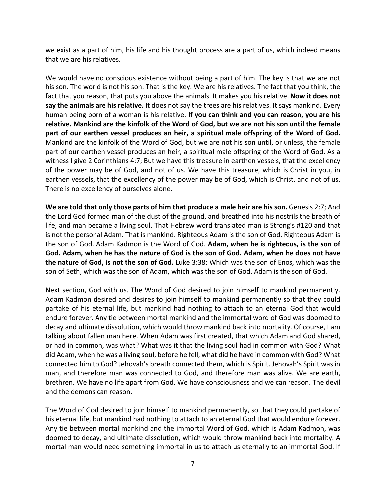we exist as a part of him, his life and his thought process are a part of us, which indeed means that we are his relatives.

We would have no conscious existence without being a part of him. The key is that we are not his son. The world is not his son. That is the key. We are his relatives. The fact that you think, the fact that you reason, that puts you above the animals. It makes you his relative. **Now it does not say the animals are his relative.** It does not say the trees are his relatives. It says mankind. Every human being born of a woman is his relative. **If you can think and you can reason, you are his relative. Mankind are the kinfolk of the Word of God, but we are not his son until the female part of our earthen vessel produces an heir, a spiritual male offspring of the Word of God.** Mankind are the kinfolk of the Word of God, but we are not his son until, or unless, the female part of our earthen vessel produces an heir, a spiritual male offspring of the Word of God. As a witness I give 2 Corinthians 4:7; But we have this treasure in earthen vessels, that the excellency of the power may be of God, and not of us. We have this treasure, which is Christ in you, in earthen vessels, that the excellency of the power may be of God, which is Christ, and not of us. There is no excellency of ourselves alone.

**We are told that only those parts of him that produce a male heir are his son.** Genesis 2:7; And the Lord God formed man of the dust of the ground, and breathed into his nostrils the breath of life, and man became a living soul. That Hebrew word translated man is Strong's #120 and that is not the personal Adam. That is mankind. Righteous Adam is the son of God. Righteous Adam is the son of God. Adam Kadmon is the Word of God. **Adam, when he is righteous, is the son of God. Adam, when he has the nature of God is the son of God. Adam, when he does not have the nature of God, is not the son of God.** Luke 3:38; Which was the son of Enos, which was the son of Seth, which was the son of Adam, which was the son of God. Adam is the son of God.

Next section, God with us. The Word of God desired to join himself to mankind permanently. Adam Kadmon desired and desires to join himself to mankind permanently so that they could partake of his eternal life, but mankind had nothing to attach to an eternal God that would endure forever. Any tie between mortal mankind and the immortal word of God was doomed to decay and ultimate dissolution, which would throw mankind back into mortality. Of course, I am talking about fallen man here. When Adam was first created, that which Adam and God shared, or had in common, was what? What was it that the living soul had in common with God? What did Adam, when he was a living soul, before he fell, what did he have in common with God? What connected him to God? Jehovah's breath connected them, which is Spirit. Jehovah's Spirit was in man, and therefore man was connected to God, and therefore man was alive. We are earth, brethren. We have no life apart from God. We have consciousness and we can reason. The devil and the demons can reason.

The Word of God desired to join himself to mankind permanently, so that they could partake of his eternal life, but mankind had nothing to attach to an eternal God that would endure forever. Any tie between mortal mankind and the immortal Word of God, which is Adam Kadmon, was doomed to decay, and ultimate dissolution, which would throw mankind back into mortality. A mortal man would need something immortal in us to attach us eternally to an immortal God. If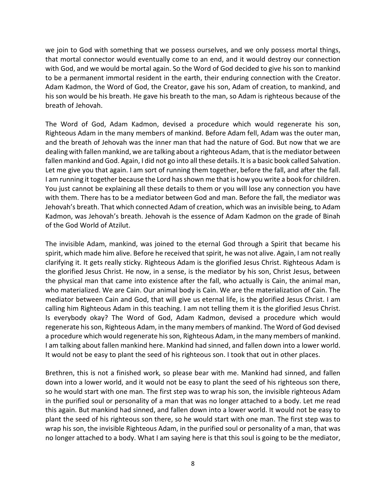we join to God with something that we possess ourselves, and we only possess mortal things, that mortal connector would eventually come to an end, and it would destroy our connection with God, and we would be mortal again. So the Word of God decided to give his son to mankind to be a permanent immortal resident in the earth, their enduring connection with the Creator. Adam Kadmon, the Word of God, the Creator, gave his son, Adam of creation, to mankind, and his son would be his breath. He gave his breath to the man, so Adam is righteous because of the breath of Jehovah.

The Word of God, Adam Kadmon, devised a procedure which would regenerate his son, Righteous Adam in the many members of mankind. Before Adam fell, Adam was the outer man, and the breath of Jehovah was the inner man that had the nature of God. But now that we are dealing with fallen mankind, we are talking about a righteous Adam, that is the mediator between fallen mankind and God. Again, I did not go into all these details. It is a basic book called Salvation. Let me give you that again. I am sort of running them together, before the fall, and after the fall. I am running it together because the Lord has shown me that is how you write a book for children. You just cannot be explaining all these details to them or you will lose any connection you have with them. There has to be a mediator between God and man. Before the fall, the mediator was Jehovah's breath. That which connected Adam of creation, which was an invisible being, to Adam Kadmon, was Jehovah's breath. Jehovah is the essence of Adam Kadmon on the grade of Binah of the God World of Atzilut.

The invisible Adam, mankind, was joined to the eternal God through a Spirit that became his spirit, which made him alive. Before he received that spirit, he was not alive. Again, I am not really clarifying it. It gets really sticky. Righteous Adam is the glorified Jesus Christ. Righteous Adam is the glorified Jesus Christ. He now, in a sense, is the mediator by his son, Christ Jesus, between the physical man that came into existence after the fall, who actually is Cain, the animal man, who materialized. We are Cain. Our animal body is Cain. We are the materialization of Cain. The mediator between Cain and God, that will give us eternal life, is the glorified Jesus Christ. I am calling him Righteous Adam in this teaching. I am not telling them it is the glorified Jesus Christ. Is everybody okay? The Word of God, Adam Kadmon, devised a procedure which would regenerate his son, Righteous Adam, in the many members of mankind. The Word of God devised a procedure which would regenerate his son, Righteous Adam, in the many members of mankind. I am talking about fallen mankind here. Mankind had sinned, and fallen down into a lower world. It would not be easy to plant the seed of his righteous son. I took that out in other places.

Brethren, this is not a finished work, so please bear with me. Mankind had sinned, and fallen down into a lower world, and it would not be easy to plant the seed of his righteous son there, so he would start with one man. The first step was to wrap his son, the invisible righteous Adam in the purified soul or personality of a man that was no longer attached to a body. Let me read this again. But mankind had sinned, and fallen down into a lower world. It would not be easy to plant the seed of his righteous son there, so he would start with one man. The first step was to wrap his son, the invisible Righteous Adam, in the purified soul or personality of a man, that was no longer attached to a body. What I am saying here is that this soul is going to be the mediator,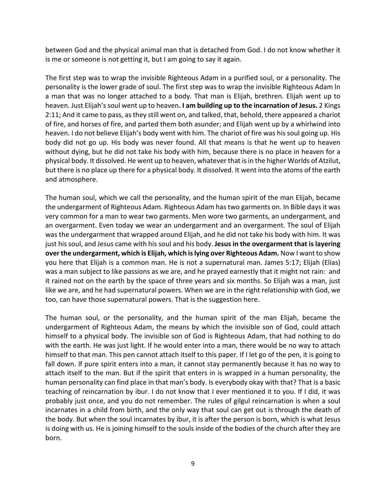between God and the physical animal man that is detached from God. I do not know whether it is me or someone is not getting it, but I am going to say it again.

The first step was to wrap the invisible Righteous Adam in a purified soul, or a personality. The personality is the lower grade of soul. The first step was to wrap the invisible Righteous Adam ln a man that was no longer attached to a body. That man is Elijah, brethren. Elijah went up to heaven. Just Elijah's soul went up to heaven**. I am building up to the incarnation of Jesus.** 2 Kings 2:11; And it came to pass, as they still went on, and talked, that, behold, there appeared a chariot of fire, and horses of fire, and parted them both asunder; and Elijah went up by a whirlwind into heaven. I do not believe Elijah's body went with him. The chariot of fire was his soul going up. His body did not go up. His body was never found. All that means is that he went up to heaven without dying, but he did not take his body with him, because there is no place in heaven for a physical body. It dissolved. He went up to heaven, whatever that is in the higher Worlds of Atzilut, but there is no place up there for a physical body. It dissolved. It went into the atoms of the earth and atmosphere.

The human soul, which we call the personality, and the human spirit of the man Elijah, became the undergarment of Righteous Adam. Righteous Adam has two garments on. In Bible days it was very common for a man to wear two garments. Men wore two garments, an undergarment, and an overgarment. Even today we wear an undergarment and an overgarment. The soul of Elijah was the undergarment that wrapped around Elijah, and he did not take his body with him. It was just his soul, and Jesus came with his soul and his body. **Jesus in the overgarment that is layering over the undergarment, which is Elijah, which is lying over Righteous Adam.** Now I want to show you here that Elijah is a common man. He is not a supernatural man. James 5:17; Elijah (Elias) was a man subject to like passions as we are, and he prayed earnestly that it might not rain: and it rained not on the earth by the space of three years and six months. So Elijah was a man, just like we are, and he had supernatural powers. When we are in the right relationship with God, we too, can have those supernatural powers. That is the suggestion here.

The human soul, or the personality, and the human spirit of the man Elijah, became the undergarment of Righteous Adam, the means by which the invisible son of God, could attach himself to a physical body. The invisible son of God is Righteous Adam, that had nothing to do with the earth. He was just light. If he would enter into a man, there would be no way to attach himself to that man. This pen cannot attach itself to this paper. If I let go of the pen, it is going to fall down. If pure spirit enters into a man, it cannot stay permanently because it has no way to attach itself to the man. But if the spirit that enters in is wrapped in a human personality, the human personality can find place in that man's body. Is everybody okay with that? That is a basic teaching of reincarnation by ibur. I do not know that I ever mentioned it to you. If I did, it was probably just once, and you do not remember. The rules of gilgul reincarnation is when a soul incarnates in a child from birth, and the only way that soul can get out is through the death of the body. But when the soul incarnates by ibur, it is after the person is born, which is what Jesus is doing with us. He is joining himself to the souls inside of the bodies of the church after they are born.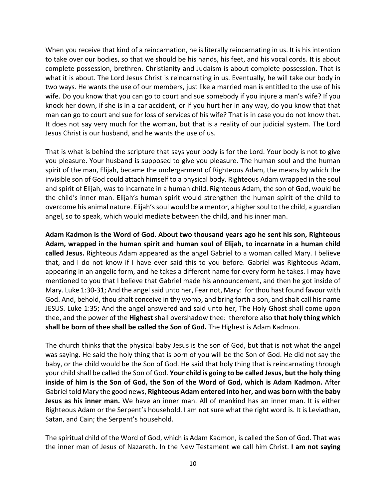When you receive that kind of a reincarnation, he is literally reincarnating in us. It is his intention to take over our bodies, so that we should be his hands, his feet, and his vocal cords. It is about complete possession, brethren. Christianity and Judaism is about complete possession. That is what it is about. The Lord Jesus Christ is reincarnating in us. Eventually, he will take our body in two ways. He wants the use of our members, just like a married man is entitled to the use of his wife. Do you know that you can go to court and sue somebody if you injure a man's wife? If you knock her down, if she is in a car accident, or if you hurt her in any way, do you know that that man can go to court and sue for loss of services of his wife? That is in case you do not know that. It does not say very much for the woman, but that is a reality of our judicial system. The Lord Jesus Christ is our husband, and he wants the use of us.

That is what is behind the scripture that says your body is for the Lord. Your body is not to give you pleasure. Your husband is supposed to give you pleasure. The human soul and the human spirit of the man, Elijah, became the undergarment of Righteous Adam, the means by which the invisible son of God could attach himself to a physical body. Righteous Adam wrapped in the soul and spirit of Elijah, was to incarnate in a human child. Righteous Adam, the son of God, would be the child's inner man. Elijah's human spirit would strengthen the human spirit of the child to overcome his animal nature. Elijah's soul would be a mentor, a higher soul to the child, a guardian angel, so to speak, which would mediate between the child, and his inner man.

**Adam Kadmon is the Word of God. About two thousand years ago he sent his son, Righteous Adam, wrapped in the human spirit and human soul of Elijah, to incarnate in a human child called Jesus.** Righteous Adam appeared as the angel Gabriel to a woman called Mary. I believe that, and I do not know if I have ever said this to you before. Gabriel was Righteous Adam, appearing in an angelic form, and he takes a different name for every form he takes. I may have mentioned to you that I believe that Gabriel made his announcement, and then he got inside of Mary. Luke 1:30-31; And the angel said unto her, Fear not, Mary: for thou hast found favour with God. And, behold, thou shalt conceive in thy womb, and bring forth a son, and shalt call his name JESUS. Luke 1:35; And the angel answered and said unto her, The Holy Ghost shall come upon thee, and the power of the **Highest** shall overshadow thee: therefore also **that holy thing which shall be born of thee shall be called the Son of God.** The Highest is Adam Kadmon.

The church thinks that the physical baby Jesus is the son of God, but that is not what the angel was saying. He said the holy thing that is born of you will be the Son of God. He did not say the baby, or the child would be the Son of God. He said that holy thing that is reincarnating through your child shall be called the Son of God. **Your child is going to be called Jesus, but the holy thing inside of him is the Son of God, the Son of the Word of God, which is Adam Kadmon.** After Gabriel told Mary the good news, **Righteous Adam entered into her, and was born with the baby Jesus as his inner man.** We have an inner man. All of mankind has an inner man. It is either Righteous Adam or the Serpent's household. I am not sure what the right word is. It is Leviathan, Satan, and Cain; the Serpent's household.

The spiritual child of the Word of God, which is Adam Kadmon, is called the Son of God. That was the inner man of Jesus of Nazareth. In the New Testament we call him Christ. **I am not saying**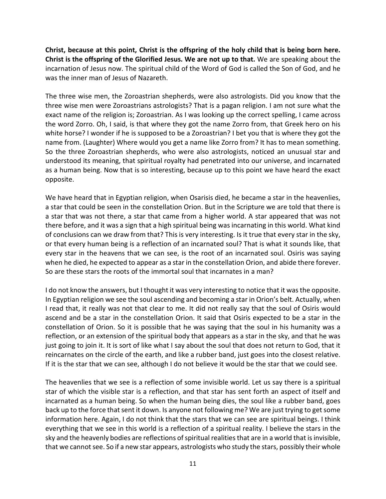**Christ, because at this point, Christ is the offspring of the holy child that is being born here. Christ is the offspring of the Glorified Jesus. We are not up to that.** We are speaking about the incarnation of Jesus now. The spiritual child of the Word of God is called the Son of God, and he was the inner man of Jesus of Nazareth.

The three wise men, the Zoroastrian shepherds, were also astrologists. Did you know that the three wise men were Zoroastrians astrologists? That is a pagan religion. I am not sure what the exact name of the religion is; Zoroastrian. As I was looking up the correct spelling, I came across the word Zorro. Oh, I said, is that where they got the name Zorro from, that Greek hero on his white horse? I wonder if he is supposed to be a Zoroastrian? I bet you that is where they got the name from. (Laughter) Where would you get a name like Zorro from? It has to mean something. So the three Zoroastrian shepherds, who were also astrologists, noticed an unusual star and understood its meaning, that spiritual royalty had penetrated into our universe, and incarnated as a human being. Now that is so interesting, because up to this point we have heard the exact opposite.

We have heard that in Egyptian religion, when Osarisis died, he became a star in the heavenlies, a star that could be seen in the constellation Orion. But in the Scripture we are told that there is a star that was not there, a star that came from a higher world. A star appeared that was not there before, and it was a sign that a high spiritual being was incarnating in this world. What kind of conclusions can we draw from that? This is very interesting. Is it true that every star in the sky, or that every human being is a reflection of an incarnated soul? That is what it sounds like, that every star in the heavens that we can see, is the root of an incarnated soul. Osiris was saying when he died, he expected to appear as a star in the constellation Orion, and abide there forever. So are these stars the roots of the immortal soul that incarnates in a man?

I do not know the answers, but I thought it was very interesting to notice that it was the opposite. In Egyptian religion we see the soul ascending and becoming a star in Orion's belt. Actually, when I read that, it really was not that clear to me. It did not really say that the soul of Osiris would ascend and be a star in the constellation Orion. It said that Osiris expected to be a star in the constellation of Orion. So it is possible that he was saying that the soul in his humanity was a reflection, or an extension of the spiritual body that appears as a star in the sky, and that he was just going to join it. It is sort of like what I say about the soul that does not return to God, that it reincarnates on the circle of the earth, and like a rubber band, just goes into the closest relative. If it is the star that we can see, although I do not believe it would be the star that we could see.

The heavenlies that we see is a reflection of some invisible world. Let us say there is a spiritual star of which the visible star is a reflection, and that star has sent forth an aspect of itself and incarnated as a human being. So when the human being dies, the soul like a rubber band, goes back up to the force that sent it down. Is anyone not following me? We are just trying to get some information here. Again, I do not think that the stars that we can see are spiritual beings. I think everything that we see in this world is a reflection of a spiritual reality. I believe the stars in the sky and the heavenly bodies are reflections of spiritual realities that are in a world that is invisible, that we cannot see. So if a new star appears, astrologists who study the stars, possibly their whole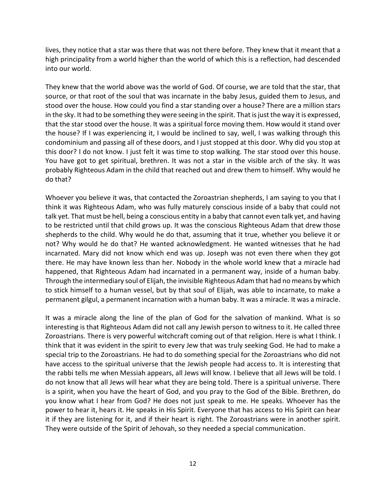lives, they notice that a star was there that was not there before. They knew that it meant that a high principality from a world higher than the world of which this is a reflection, had descended into our world.

They knew that the world above was the world of God. Of course, we are told that the star, that source, or that root of the soul that was incarnate in the baby Jesus, guided them to Jesus, and stood over the house. How could you find a star standing over a house? There are a million stars in the sky. It had to be something they were seeing in the spirit. That is just the way it is expressed, that the star stood over the house. It was a spiritual force moving them. How would it stand over the house? If I was experiencing it, I would be inclined to say, well, I was walking through this condominium and passing all of these doors, and I just stopped at this door. Why did you stop at this door? I do not know. I just felt it was time to stop walking. The star stood over this house. You have got to get spiritual, brethren. It was not a star in the visible arch of the sky. It was probably Righteous Adam in the child that reached out and drew them to himself. Why would he do that?

Whoever you believe it was, that contacted the Zoroastrian shepherds, I am saying to you that I think it was Righteous Adam, who was fully maturely conscious inside of a baby that could not talk yet. That must be hell, being a conscious entity in a baby that cannot even talk yet, and having to be restricted until that child grows up. It was the conscious Righteous Adam that drew those shepherds to the child. Why would he do that, assuming that it true, whether you believe it or not? Why would he do that? He wanted acknowledgment. He wanted witnesses that he had incarnated. Mary did not know which end was up. Joseph was not even there when they got there. He may have known less than her. Nobody in the whole world knew that a miracle had happened, that Righteous Adam had incarnated in a permanent way, inside of a human baby. Through the intermediary soul of Elijah, the invisible Righteous Adam that had no means by which to stick himself to a human vessel, but by that soul of Elijah, was able to incarnate, to make a permanent gilgul, a permanent incarnation with a human baby. It was a miracle. It was a miracle.

It was a miracle along the line of the plan of God for the salvation of mankind. What is so interesting is that Righteous Adam did not call any Jewish person to witness to it. He called three Zoroastrians. There is very powerful witchcraft coming out of that religion. Here is what I think. I think that it was evident in the spirit to every Jew that was truly seeking God. He had to make a special trip to the Zoroastrians. He had to do something special for the Zoroastrians who did not have access to the spiritual universe that the Jewish people had access to. It is interesting that the rabbi tells me when Messiah appears, all Jews will know. I believe that all Jews will be told. I do not know that all Jews will hear what they are being told. There is a spiritual universe. There is a spirit, when you have the heart of God, and you pray to the God of the Bible. Brethren, do you know what I hear from God? He does not just speak to me. He speaks. Whoever has the power to hear it, hears it. He speaks in His Spirit. Everyone that has access to His Spirit can hear it if they are listening for it, and if their heart is right. The Zoroastrians were in another spirit. They were outside of the Spirit of Jehovah, so they needed a special communication.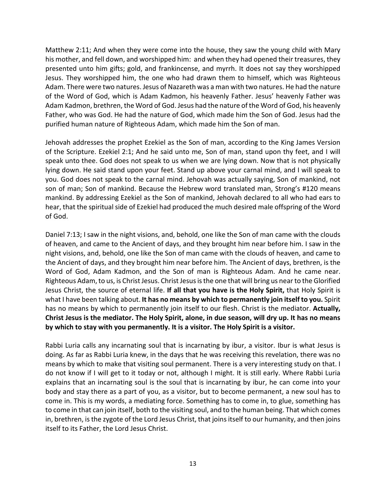Matthew 2:11; And when they were come into the house, they saw the young child with Mary his mother, and fell down, and worshipped him: and when they had opened their treasures, they presented unto him gifts; gold, and frankincense, and myrrh. It does not say they worshipped Jesus. They worshipped him, the one who had drawn them to himself, which was Righteous Adam. There were two natures. Jesus of Nazareth was a man with two natures. He had the nature of the Word of God, which is Adam Kadmon, his heavenly Father. Jesus' heavenly Father was Adam Kadmon, brethren, the Word of God. Jesus had the nature of the Word of God, his heavenly Father, who was God. He had the nature of God, which made him the Son of God. Jesus had the purified human nature of Righteous Adam, which made him the Son of man.

Jehovah addresses the prophet Ezekiel as the Son of man, according to the King James Version of the Scripture. Ezekiel 2:1; And he said unto me, Son of man, stand upon thy feet, and I will speak unto thee. God does not speak to us when we are lying down. Now that is not physically lying down. He said stand upon your feet. Stand up above your carnal mind, and I will speak to you. God does not speak to the carnal mind. Jehovah was actually saying, Son of mankind, not son of man; Son of mankind. Because the Hebrew word translated man, Strong's #120 means mankind. By addressing Ezekiel as the Son of mankind, Jehovah declared to all who had ears to hear, that the spiritual side of Ezekiel had produced the much desired male offspring of the Word of God.

Daniel 7:13; I saw in the night visions, and, behold, one like the Son of man came with the clouds of heaven, and came to the Ancient of days, and they brought him near before him. I saw in the night visions, and, behold, one like the Son of man came with the clouds of heaven, and came to the Ancient of days, and they brought him near before him. The Ancient of days, brethren, is the Word of God, Adam Kadmon, and the Son of man is Righteous Adam. And he came near. Righteous Adam, to us, is Christ Jesus. Christ Jesus is the one that will bring us near to the Glorified Jesus Christ, the source of eternal life. **If all that you have is the Holy Spirit,** that Holy Spirit is what I have been talking about. **It has no means by which to permanently join itself to you.** Spirit has no means by which to permanently join itself to our flesh. Christ is the mediator. **Actually, Christ Jesus is the mediator. The Holy Spirit, alone, in due season, will dry up. It has no means by which to stay with you permanently. It is a visitor. The Holy Spirit is a visitor.**

Rabbi Luria calls any incarnating soul that is incarnating by ibur, a visitor. Ibur is what Jesus is doing. As far as Rabbi Luria knew, in the days that he was receiving this revelation, there was no means by which to make that visiting soul permanent. There is a very interesting study on that. I do not know if I will get to it today or not, although I might. It is still early. Where Rabbi Luria explains that an incarnating soul is the soul that is incarnating by ibur, he can come into your body and stay there as a part of you, as a visitor, but to become permanent, a new soul has to come in. This is my words, a mediating force. Something has to come in, to glue, something has to come in that can join itself, both to the visiting soul, and to the human being. That which comes in, brethren, is the zygote of the Lord Jesus Christ, that joins itself to our humanity, and then joins itself to its Father, the Lord Jesus Christ.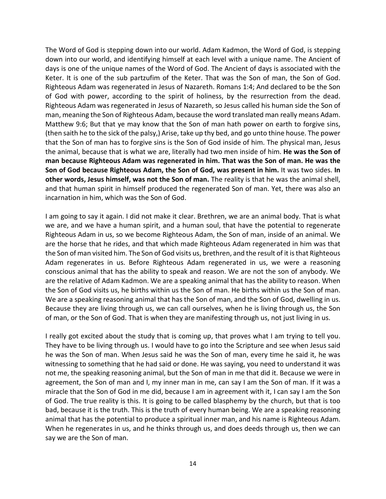The Word of God is stepping down into our world. Adam Kadmon, the Word of God, is stepping down into our world, and identifying himself at each level with a unique name. The Ancient of days is one of the unique names of the Word of God. The Ancient of days is associated with the Keter. It is one of the sub partzufim of the Keter. That was the Son of man, the Son of God. Righteous Adam was regenerated in Jesus of Nazareth. Romans 1:4; And declared to be the Son of God with power, according to the spirit of holiness, by the resurrection from the dead. Righteous Adam was regenerated in Jesus of Nazareth, so Jesus called his human side the Son of man, meaning the Son of Righteous Adam, because the word translated man really means Adam. Matthew 9:6; But that ye may know that the Son of man hath power on earth to forgive sins, (then saith he to the sick of the palsy,) Arise, take up thy bed, and go unto thine house. The power that the Son of man has to forgive sins is the Son of God inside of him. The physical man, Jesus the animal, because that is what we are, literally had two men inside of him. **He was the Son of man because Righteous Adam was regenerated in him. That was the Son of man. He was the Son of God because Righteous Adam, the Son of God, was present in him.** It was two sides. **In other words, Jesus himself, was not the Son of man.** The reality is that he was the animal shell, and that human spirit in himself produced the regenerated Son of man. Yet, there was also an incarnation in him, which was the Son of God.

I am going to say it again. I did not make it clear. Brethren, we are an animal body. That is what we are, and we have a human spirit, and a human soul, that have the potential to regenerate Righteous Adam in us, so we become Righteous Adam, the Son of man, inside of an animal. We are the horse that he rides, and that which made Righteous Adam regenerated in him was that the Son of man visited him. The Son of God visits us, brethren, and the result of it is that Righteous Adam regenerates in us. Before Righteous Adam regenerated in us, we were a reasoning conscious animal that has the ability to speak and reason. We are not the son of anybody. We are the relative of Adam Kadmon. We are a speaking animal that has the ability to reason. When the Son of God visits us, he births within us the Son of man. He births within us the Son of man. We are a speaking reasoning animal that has the Son of man, and the Son of God, dwelling in us. Because they are living through us, we can call ourselves, when he is living through us, the Son of man, or the Son of God. That is when they are manifesting through us, not just living in us.

I really got excited about the study that is coming up, that proves what I am trying to tell you. They have to be living through us. I would have to go into the Scripture and see when Jesus said he was the Son of man. When Jesus said he was the Son of man, every time he said it, he was witnessing to something that he had said or done. He was saying, you need to understand it was not me, the speaking reasoning animal, but the Son of man in me that did it. Because we were in agreement, the Son of man and I, my inner man in me, can say I am the Son of man. If it was a miracle that the Son of God in me did, because I am in agreement with it, I can say I am the Son of God. The true reality is this. It is going to be called blasphemy by the church, but that is too bad, because it is the truth. This is the truth of every human being. We are a speaking reasoning animal that has the potential to produce a spiritual inner man, and his name is Righteous Adam. When he regenerates in us, and he thinks through us, and does deeds through us, then we can say we are the Son of man.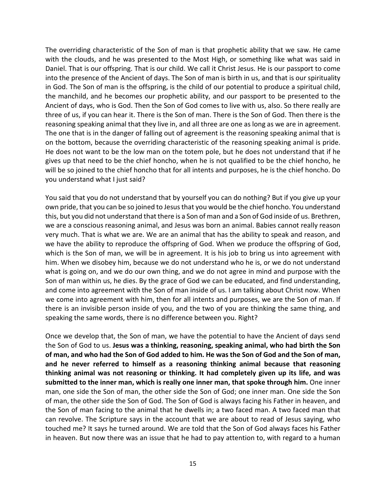The overriding characteristic of the Son of man is that prophetic ability that we saw. He came with the clouds, and he was presented to the Most High, or something like what was said in Daniel. That is our offspring. That is our child. We call it Christ Jesus. He is our passport to come into the presence of the Ancient of days. The Son of man is birth in us, and that is our spirituality in God. The Son of man is the offspring, is the child of our potential to produce a spiritual child, the manchild, and he becomes our prophetic ability, and our passport to be presented to the Ancient of days, who is God. Then the Son of God comes to live with us, also. So there really are three of us, if you can hear it. There is the Son of man. There is the Son of God. Then there is the reasoning speaking animal that they live in, and all three are one as long as we are in agreement. The one that is in the danger of falling out of agreement is the reasoning speaking animal that is on the bottom, because the overriding characteristic of the reasoning speaking animal is pride. He does not want to be the low man on the totem pole, but he does not understand that if he gives up that need to be the chief honcho, when he is not qualified to be the chief honcho, he will be so joined to the chief honcho that for all intents and purposes, he is the chief honcho. Do you understand what I just said?

You said that you do not understand that by yourself you can do nothing? But if you give up your own pride, that you can be so joined to Jesus that you would be the chief honcho. You understand this, but you did not understand that there is a Son of man and a Son of God inside of us. Brethren, we are a conscious reasoning animal, and Jesus was born an animal. Babies cannot really reason very much. That is what we are. We are an animal that has the ability to speak and reason, and we have the ability to reproduce the offspring of God. When we produce the offspring of God, which is the Son of man, we will be in agreement. It is his job to bring us into agreement with him. When we disobey him, because we do not understand who he is, or we do not understand what is going on, and we do our own thing, and we do not agree in mind and purpose with the Son of man within us, he dies. By the grace of God we can be educated, and find understanding, and come into agreement with the Son of man inside of us. I am talking about Christ now. When we come into agreement with him, then for all intents and purposes, we are the Son of man. If there is an invisible person inside of you, and the two of you are thinking the same thing, and speaking the same words, there is no difference between you. Right?

Once we develop that, the Son of man, we have the potential to have the Ancient of days send the Son of God to us. **Jesus was a thinking, reasoning, speaking animal, who had birth the Son of man, and who had the Son of God added to him. He was the Son of God and the Son of man, and he never referred to himself as a reasoning thinking animal because that reasoning thinking animal was not reasoning or thinking. It had completely given up its life, and was submitted to the inner man, which is really one inner man, that spoke through him.** One inner man, one side the Son of man, the other side the Son of God; one inner man. One side the Son of man, the other side the Son of God. The Son of God is always facing his Father in heaven, and the Son of man facing to the animal that he dwells in; a two faced man. A two faced man that can revolve. The Scripture says in the account that we are about to read of Jesus saying, who touched me? It says he turned around. We are told that the Son of God always faces his Father in heaven. But now there was an issue that he had to pay attention to, with regard to a human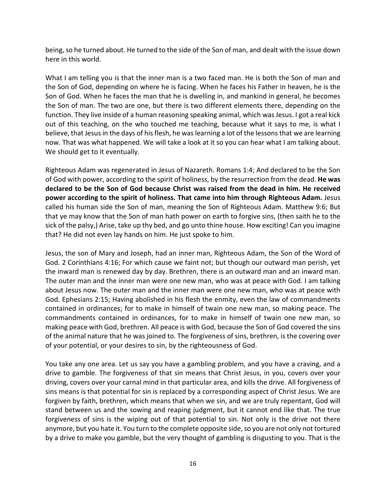being, so he turned about. He turned to the side of the Son of man, and dealt with the issue down here in this world.

What I am telling you is that the inner man is a two faced man. He is both the Son of man and the Son of God, depending on where he is facing. When he faces his Father in heaven, he is the Son of God. When he faces the man that he is dwelling in, and mankind in general, he becomes the Son of man. The two are one, but there is two different elements there, depending on the function. They live inside of a human reasoning speaking animal, which was Jesus. I got a real kick out of this teaching, on the who touched me teaching, because what it says to me, is what I believe, that Jesus in the days of his flesh, he was learning a lot of the lessons that we are learning now. That was what happened. We will take a look at it so you can hear what I am talking about. We should get to it eventually.

Righteous Adam was regenerated in Jesus of Nazareth. Romans 1:4; And declared to be the Son of God with power, according to the spirit of holiness, by the resurrection from the dead. **He was declared to be the Son of God because Christ was raised from the dead in him. He received power according to the spirit of holiness. That came into him through Righteous Adam.** Jesus called his human side the Son of man, meaning the Son of Righteous Adam. Matthew 9:6; But that ye may know that the Son of man hath power on earth to forgive sins, (then saith he to the sick of the palsy,) Arise, take up thy bed, and go unto thine house. How exciting! Can you imagine that? He did not even lay hands on him. He just spoke to him.

Jesus, the son of Mary and Joseph, had an inner man, Righteous Adam, the Son of the Word of God. 2 Corinthians 4:16; For which cause we faint not; but though our outward man perish, yet the inward man is renewed day by day. Brethren, there is an outward man and an inward man. The outer man and the inner man were one new man, who was at peace with God. I am talking about Jesus now. The outer man and the inner man were one new man, who was at peace with God. Ephesians 2:15; Having abolished in his flesh the enmity, even the law of commandments contained in ordinances; for to make in himself of twain one new man, so making peace. The commandments contained in ordinances, for to make in himself of twain one new man, so making peace with God, brethren. All peace is with God, because the Son of God covered the sins of the animal nature that he was joined to. The forgiveness of sins, brethren, is the covering over of your potential, or your desires to sin, by the righteousness of God.

You take any one area. Let us say you have a gambling problem, and you have a craving, and a drive to gamble. The forgiveness of that sin means that Christ Jesus, in you, covers over your driving, covers over your carnal mind in that particular area, and kills the drive. All forgiveness of sins means is that potential for sin is replaced by a corresponding aspect of Christ Jesus. We are forgiven by faith, brethren, which means that when we sin, and we are truly repentant, God will stand between us and the sowing and reaping judgment, but it cannot end like that. The true forgiveness of sins is the wiping out of that potential to sin. Not only is the drive not there anymore, but you hate it. You turn to the complete opposite side, so you are not only not tortured by a drive to make you gamble, but the very thought of gambling is disgusting to you. That is the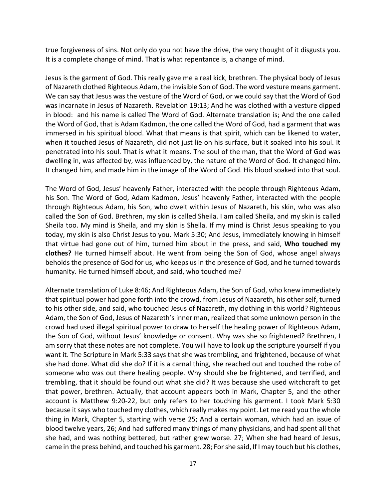true forgiveness of sins. Not only do you not have the drive, the very thought of it disgusts you. It is a complete change of mind. That is what repentance is, a change of mind.

Jesus is the garment of God. This really gave me a real kick, brethren. The physical body of Jesus of Nazareth clothed Righteous Adam, the invisible Son of God. The word vesture means garment. We can say that Jesus was the vesture of the Word of God, or we could say that the Word of God was incarnate in Jesus of Nazareth. Revelation 19:13; And he was clothed with a vesture dipped in blood: and his name is called The Word of God. Alternate translation is; And the one called the Word of God, that is Adam Kadmon, the one called the Word of God, had a garment that was immersed in his spiritual blood. What that means is that spirit, which can be likened to water, when it touched Jesus of Nazareth, did not just lie on his surface, but it soaked into his soul. It penetrated into his soul. That is what it means. The soul of the man, that the Word of God was dwelling in, was affected by, was influenced by, the nature of the Word of God. It changed him. It changed him, and made him in the image of the Word of God. His blood soaked into that soul.

The Word of God, Jesus' heavenly Father, interacted with the people through Righteous Adam, his Son. The Word of God, Adam Kadmon, Jesus' heavenly Father, interacted with the people through Righteous Adam, his Son, who dwelt within Jesus of Nazareth, his skin, who was also called the Son of God. Brethren, my skin is called Sheila. I am called Sheila, and my skin is called Sheila too. My mind is Sheila, and my skin is Sheila. If my mind is Christ Jesus speaking to you today, my skin is also Christ Jesus to you. Mark 5:30; And Jesus, immediately knowing in himself that virtue had gone out of him, turned him about in the press, and said, **Who touched my clothes?** He turned himself about. He went from being the Son of God, whose angel always beholds the presence of God for us, who keeps us in the presence of God, and he turned towards humanity. He turned himself about, and said, who touched me?

Alternate translation of Luke 8:46; And Righteous Adam, the Son of God, who knew immediately that spiritual power had gone forth into the crowd, from Jesus of Nazareth, his other self, turned to his other side, and said, who touched Jesus of Nazareth, my clothing in this world? Righteous Adam, the Son of God, Jesus of Nazareth's inner man, realized that some unknown person in the crowd had used illegal spiritual power to draw to herself the healing power of Righteous Adam, the Son of God, without Jesus' knowledge or consent. Why was she so frightened? Brethren, I am sorry that these notes are not complete. You will have to look up the scripture yourself if you want it. The Scripture in Mark 5:33 says that she was trembling, and frightened, because of what she had done. What did she do? If it is a carnal thing, she reached out and touched the robe of someone who was out there healing people. Why should she be frightened, and terrified, and trembling, that it should be found out what she did? It was because she used witchcraft to get that power, brethren. Actually, that account appears both in Mark, Chapter 5, and the other account is Matthew 9:20-22, but only refers to her touching his garment. I took Mark 5:30 because it says who touched my clothes, which really makes my point. Let me read you the whole thing in Mark, Chapter 5, starting with verse 25; And a certain woman, which had an issue of blood twelve years, 26; And had suffered many things of many physicians, and had spent all that she had, and was nothing bettered, but rather grew worse. 27; When she had heard of Jesus, came in the press behind, and touched his garment. 28; For she said, If I may touch but his clothes,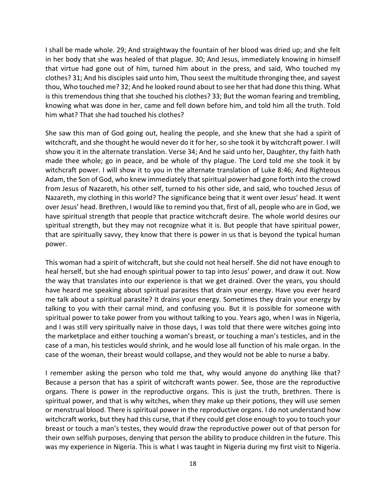I shall be made whole. 29; And straightway the fountain of her blood was dried up; and she felt in her body that she was healed of that plague. 30; And Jesus, immediately knowing in himself that virtue had gone out of him, turned him about in the press, and said, Who touched my clothes? 31; And his disciples said unto him, Thou seest the multitude thronging thee, and sayest thou, Who touched me? 32; And he looked round about to see her that had done this thing. What is this tremendous thing that she touched his clothes? 33; But the woman fearing and trembling, knowing what was done in her, came and fell down before him, and told him all the truth. Told him what? That she had touched his clothes?

She saw this man of God going out, healing the people, and she knew that she had a spirit of witchcraft, and she thought he would never do it for her, so she took it by witchcraft power. I will show you it in the alternate translation. Verse 34; And he said unto her, Daughter, thy faith hath made thee whole; go in peace, and be whole of thy plague. The Lord told me she took it by witchcraft power. I will show it to you in the alternate translation of Luke 8:46; And Righteous Adam, the Son of God, who knew immediately that spiritual power had gone forth into the crowd from Jesus of Nazareth, his other self, turned to his other side, and said, who touched Jesus of Nazareth, my clothing in this world? The significance being that it went over Jesus' head. It went over Jesus' head. Brethren, I would like to remind you that, first of all, people who are in God, we have spiritual strength that people that practice witchcraft desire. The whole world desires our spiritual strength, but they may not recognize what it is. But people that have spiritual power, that are spiritually savvy, they know that there is power in us that is beyond the typical human power.

This woman had a spirit of witchcraft, but she could not heal herself. She did not have enough to heal herself, but she had enough spiritual power to tap into Jesus' power, and draw it out. Now the way that translates into our experience is that we get drained. Over the years, you should have heard me speaking about spiritual parasites that drain your energy. Have you ever heard me talk about a spiritual parasite? It drains your energy. Sometimes they drain your energy by talking to you with their carnal mind, and confusing you. But it is possible for someone with spiritual power to take power from you without talking to you. Years ago, when I was in Nigeria, and I was still very spiritually naive in those days, I was told that there were witches going into the marketplace and either touching a woman's breast, or touching a man's testicles, and in the case of a man, his testicles would shrink, and he would lose all function of his male organ. In the case of the woman, their breast would collapse, and they would not be able to nurse a baby.

I remember asking the person who told me that, why would anyone do anything like that? Because a person that has a spirit of witchcraft wants power. See, those are the reproductive organs. There is power in the reproductive organs. This is just the truth, brethren. There is spiritual power, and that is why witches, when they make up their potions, they will use semen or menstrual blood. There is spiritual power in the reproductive organs. I do not understand how witchcraft works, but they had this curse, that if they could get close enough to you to touch your breast or touch a man's testes, they would draw the reproductive power out of that person for their own selfish purposes, denying that person the ability to produce children in the future. This was my experience in Nigeria. This is what I was taught in Nigeria during my first visit to Nigeria.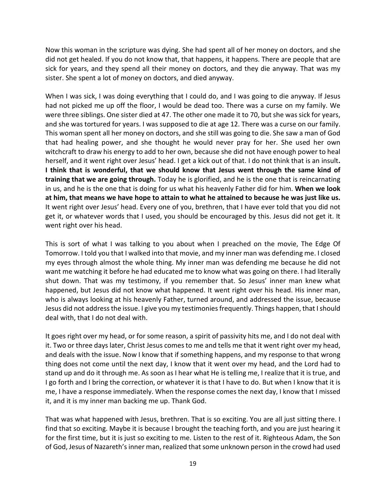Now this woman in the scripture was dying. She had spent all of her money on doctors, and she did not get healed. If you do not know that, that happens, it happens. There are people that are sick for years, and they spend all their money on doctors, and they die anyway. That was my sister. She spent a lot of money on doctors, and died anyway.

When I was sick, I was doing everything that I could do, and I was going to die anyway. If Jesus had not picked me up off the floor, I would be dead too. There was a curse on my family. We were three siblings. One sister died at 47. The other one made it to 70, but she was sick for years, and she was tortured for years. I was supposed to die at age 12. There was a curse on our family. This woman spent all her money on doctors, and she still was going to die. She saw a man of God that had healing power, and she thought he would never pray for her. She used her own witchcraft to draw his energy to add to her own, because she did not have enough power to heal herself, and it went right over Jesus' head. I get a kick out of that. I do not think that is an insult**. I think that is wonderful, that we should know that Jesus went through the same kind of training that we are going through.** Today he is glorified, and he is the one that is reincarnating in us, and he is the one that is doing for us what his heavenly Father did for him. **When we look at him, that means we have hope to attain to what he attained to because he was just like us.** It went right over Jesus' head. Every one of you, brethren, that I have ever told that you did not get it, or whatever words that I used, you should be encouraged by this. Jesus did not get it. It went right over his head.

This is sort of what I was talking to you about when I preached on the movie, The Edge Of Tomorrow. I told you that I walked into that movie, and my inner man was defending me. I closed my eyes through almost the whole thing. My inner man was defending me because he did not want me watching it before he had educated me to know what was going on there. I had literally shut down. That was my testimony, if you remember that. So Jesus' inner man knew what happened, but Jesus did not know what happened. It went right over his head. His inner man, who is always looking at his heavenly Father, turned around, and addressed the issue, because Jesus did not address the issue. I give you my testimonies frequently. Things happen, that I should deal with, that I do not deal with.

It goes right over my head, or for some reason, a spirit of passivity hits me, and I do not deal with it. Two or three days later, Christ Jesus comes to me and tells me that it went right over my head, and deals with the issue. Now I know that if something happens, and my response to that wrong thing does not come until the next day, I know that it went over my head, and the Lord had to stand up and do it through me. As soon as I hear what He is telling me, I realize that it is true, and I go forth and I bring the correction, or whatever it is that I have to do. But when I know that it is me, I have a response immediately. When the response comes the next day, I know that I missed it, and it is my inner man backing me up. Thank God.

That was what happened with Jesus, brethren. That is so exciting. You are all just sitting there. I find that so exciting. Maybe it is because I brought the teaching forth, and you are just hearing it for the first time, but it is just so exciting to me. Listen to the rest of it. Righteous Adam, the Son of God, Jesus of Nazareth's inner man, realized that some unknown person in the crowd had used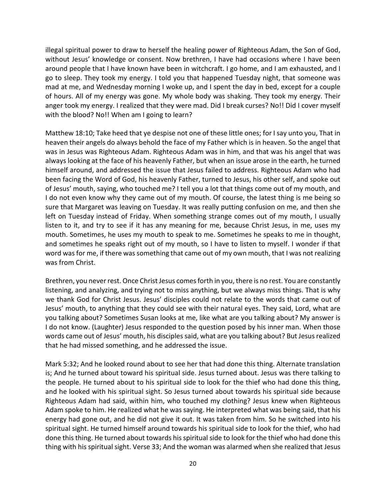illegal spiritual power to draw to herself the healing power of Righteous Adam, the Son of God, without Jesus' knowledge or consent. Now brethren, I have had occasions where I have been around people that I have known have been in witchcraft. I go home, and I am exhausted, and I go to sleep. They took my energy. I told you that happened Tuesday night, that someone was mad at me, and Wednesday morning I woke up, and I spent the day in bed, except for a couple of hours. All of my energy was gone. My whole body was shaking. They took my energy. Their anger took my energy. I realized that they were mad. Did I break curses? No!! Did I cover myself with the blood? No!! When am I going to learn?

Matthew 18:10; Take heed that ye despise not one of these little ones; for I say unto you, That in heaven their angels do always behold the face of my Father which is in heaven. So the angel that was in Jesus was Righteous Adam. Righteous Adam was in him, and that was his angel that was always looking at the face of his heavenly Father, but when an issue arose in the earth, he turned himself around, and addressed the issue that Jesus failed to address. Righteous Adam who had been facing the Word of God, his heavenly Father, turned to Jesus, his other self, and spoke out of Jesus' mouth, saying, who touched me? I tell you a lot that things come out of my mouth, and I do not even know why they came out of my mouth. Of course, the latest thing is me being so sure that Margaret was leaving on Tuesday. It was really putting confusion on me, and then she left on Tuesday instead of Friday. When something strange comes out of my mouth, I usually listen to it, and try to see if it has any meaning for me, because Christ Jesus, in me, uses my mouth. Sometimes, he uses my mouth to speak to me. Sometimes he speaks to me in thought, and sometimes he speaks right out of my mouth, so I have to listen to myself. I wonder if that word was for me, if there was something that came out of my own mouth, that I was not realizing was from Christ.

Brethren, you never rest. Once Christ Jesus comes forth in you, there is no rest. You are constantly listening, and analyzing, and trying not to miss anything, but we always miss things. That is why we thank God for Christ Jesus. Jesus' disciples could not relate to the words that came out of Jesus' mouth, to anything that they could see with their natural eyes. They said, Lord, what are you talking about? Sometimes Susan looks at me, like what are you talking about? My answer is I do not know. (Laughter) Jesus responded to the question posed by his inner man. When those words came out of Jesus' mouth, his disciples said, what are you talking about? But Jesus realized that he had missed something, and he addressed the issue.

Mark 5:32; And he looked round about to see her that had done this thing. Alternate translation is; And he turned about toward his spiritual side. Jesus turned about. Jesus was there talking to the people. He turned about to his spiritual side to look for the thief who had done this thing, and he looked with his spiritual sight. So Jesus turned about towards his spiritual side because Righteous Adam had said, within him, who touched my clothing? Jesus knew when Righteous Adam spoke to him. He realized what he was saying. He interpreted what was being said, that his energy had gone out, and he did not give it out. It was taken from him. So he switched into his spiritual sight. He turned himself around towards his spiritual side to look for the thief, who had done this thing. He turned about towards his spiritual side to look for the thief who had done this thing with his spiritual sight. Verse 33; And the woman was alarmed when she realized that Jesus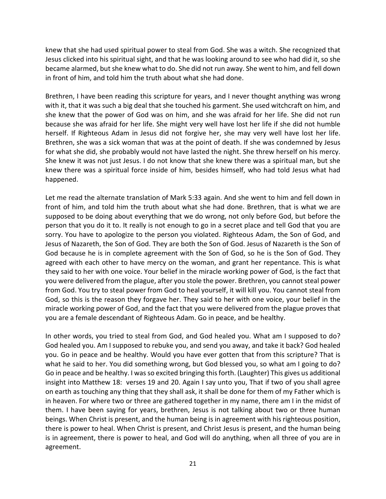knew that she had used spiritual power to steal from God. She was a witch. She recognized that Jesus clicked into his spiritual sight, and that he was looking around to see who had did it, so she became alarmed, but she knew what to do. She did not run away. She went to him, and fell down in front of him, and told him the truth about what she had done.

Brethren, I have been reading this scripture for years, and I never thought anything was wrong with it, that it was such a big deal that she touched his garment. She used witchcraft on him, and she knew that the power of God was on him, and she was afraid for her life. She did not run because she was afraid for her life. She might very well have lost her life if she did not humble herself. If Righteous Adam in Jesus did not forgive her, she may very well have lost her life. Brethren, she was a sick woman that was at the point of death. If she was condemned by Jesus for what she did, she probably would not have lasted the night. She threw herself on his mercy. She knew it was not just Jesus. I do not know that she knew there was a spiritual man, but she knew there was a spiritual force inside of him, besides himself, who had told Jesus what had happened.

Let me read the alternate translation of Mark 5:33 again. And she went to him and fell down in front of him, and told him the truth about what she had done. Brethren, that is what we are supposed to be doing about everything that we do wrong, not only before God, but before the person that you do it to. It really is not enough to go in a secret place and tell God that you are sorry. You have to apologize to the person you violated. Righteous Adam, the Son of God, and Jesus of Nazareth, the Son of God. They are both the Son of God. Jesus of Nazareth is the Son of God because he is in complete agreement with the Son of God, so he is the Son of God. They agreed with each other to have mercy on the woman, and grant her repentance. This is what they said to her with one voice. Your belief in the miracle working power of God, is the fact that you were delivered from the plague, after you stole the power. Brethren, you cannot steal power from God. You try to steal power from God to heal yourself, it will kill you. You cannot steal from God, so this is the reason they forgave her. They said to her with one voice, your belief in the miracle working power of God, and the fact that you were delivered from the plague proves that you are a female descendant of Righteous Adam. Go in peace, and be healthy.

In other words, you tried to steal from God, and God healed you. What am I supposed to do? God healed you. Am I supposed to rebuke you, and send you away, and take it back? God healed you. Go in peace and be healthy. Would you have ever gotten that from this scripture? That is what he said to her. You did something wrong, but God blessed you, so what am I going to do? Go in peace and be healthy. I was so excited bringing this forth. (Laughter) This gives us additional insight into Matthew 18: verses 19 and 20. Again I say unto you, That if two of you shall agree on earth as touching any thing that they shall ask, it shall be done for them of my Father which is in heaven. For where two or three are gathered together in my name, there am I in the midst of them. I have been saying for years, brethren, Jesus is not talking about two or three human beings. When Christ is present, and the human being is in agreement with his righteous position, there is power to heal. When Christ is present, and Christ Jesus is present, and the human being is in agreement, there is power to heal, and God will do anything, when all three of you are in agreement.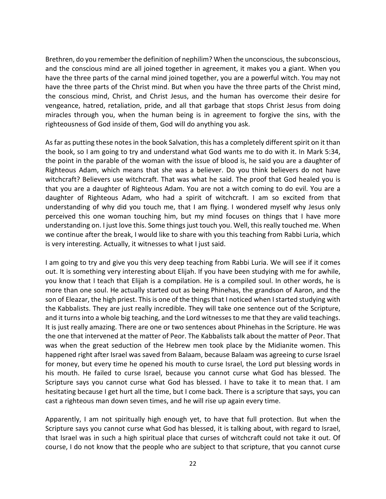Brethren, do you remember the definition of nephilim? When the unconscious, the subconscious, and the conscious mind are all joined together in agreement, it makes you a giant. When you have the three parts of the carnal mind joined together, you are a powerful witch. You may not have the three parts of the Christ mind. But when you have the three parts of the Christ mind, the conscious mind, Christ, and Christ Jesus, and the human has overcome their desire for vengeance, hatred, retaliation, pride, and all that garbage that stops Christ Jesus from doing miracles through you, when the human being is in agreement to forgive the sins, with the righteousness of God inside of them, God will do anything you ask.

As far as putting these notes in the book Salvation, this has a completely different spirit on it than the book, so I am going to try and understand what God wants me to do with it. In Mark 5:34, the point in the parable of the woman with the issue of blood is, he said you are a daughter of Righteous Adam, which means that she was a believer. Do you think believers do not have witchcraft? Believers use witchcraft. That was what he said. The proof that God healed you is that you are a daughter of Righteous Adam. You are not a witch coming to do evil. You are a daughter of Righteous Adam, who had a spirit of witchcraft. I am so excited from that understanding of why did you touch me, that I am flying. I wondered myself why Jesus only perceived this one woman touching him, but my mind focuses on things that I have more understanding on. I just love this. Some things just touch you. Well, this really touched me. When we continue after the break, I would like to share with you this teaching from Rabbi Luria, which is very interesting. Actually, it witnesses to what I just said.

I am going to try and give you this very deep teaching from Rabbi Luria. We will see if it comes out. It is something very interesting about Elijah. If you have been studying with me for awhile, you know that I teach that Elijah is a compilation. He is a compiled soul. In other words, he is more than one soul. He actually started out as being Phinehas, the grandson of Aaron, and the son of Eleazar, the high priest. This is one of the things that I noticed when I started studying with the Kabbalists. They are just really incredible. They will take one sentence out of the Scripture, and it turns into a whole big teaching, and the Lord witnesses to me that they are valid teachings. It is just really amazing. There are one or two sentences about Phinehas in the Scripture. He was the one that intervened at the matter of Peor. The Kabbalists talk about the matter of Peor. That was when the great seduction of the Hebrew men took place by the Midianite women. This happened right after Israel was saved from Balaam, because Balaam was agreeing to curse Israel for money, but every time he opened his mouth to curse Israel, the Lord put blessing words in his mouth. He failed to curse Israel, because you cannot curse what God has blessed. The Scripture says you cannot curse what God has blessed. I have to take it to mean that. I am hesitating because I get hurt all the time, but I come back. There is a scripture that says, you can cast a righteous man down seven times, and he will rise up again every time.

Apparently, I am not spiritually high enough yet, to have that full protection. But when the Scripture says you cannot curse what God has blessed, it is talking about, with regard to Israel, that Israel was in such a high spiritual place that curses of witchcraft could not take it out. Of course, I do not know that the people who are subject to that scripture, that you cannot curse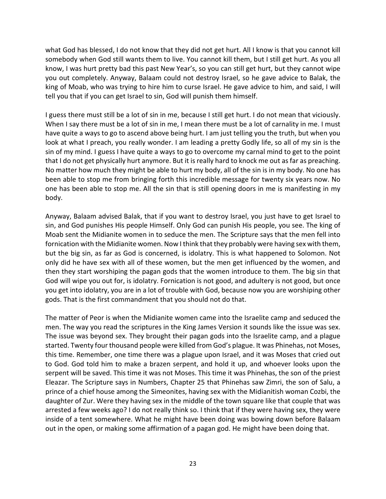what God has blessed, I do not know that they did not get hurt. All I know is that you cannot kill somebody when God still wants them to live. You cannot kill them, but I still get hurt. As you all know, I was hurt pretty bad this past New Year's, so you can still get hurt, but they cannot wipe you out completely. Anyway, Balaam could not destroy Israel, so he gave advice to Balak, the king of Moab, who was trying to hire him to curse Israel. He gave advice to him, and said, I will tell you that if you can get Israel to sin, God will punish them himself.

I guess there must still be a lot of sin in me, because I still get hurt. I do not mean that viciously. When I say there must be a lot of sin in me, I mean there must be a lot of carnality in me. I must have quite a ways to go to ascend above being hurt. I am just telling you the truth, but when you look at what I preach, you really wonder. I am leading a pretty Godly life, so all of my sin is the sin of my mind. I guess I have quite a ways to go to overcome my carnal mind to get to the point that I do not get physically hurt anymore. But it is really hard to knock me out as far as preaching. No matter how much they might be able to hurt my body, all of the sin is in my body. No one has been able to stop me from bringing forth this incredible message for twenty six years now. No one has been able to stop me. All the sin that is still opening doors in me is manifesting in my body.

Anyway, Balaam advised Balak, that if you want to destroy Israel, you just have to get Israel to sin, and God punishes His people Himself. Only God can punish His people, you see. The king of Moab sent the Midianite women in to seduce the men. The Scripture says that the men fell into fornication with the Midianite women. Now I think that they probably were having sex with them, but the big sin, as far as God is concerned, is idolatry. This is what happened to Solomon. Not only did he have sex with all of these women, but the men get influenced by the women, and then they start worshiping the pagan gods that the women introduce to them. The big sin that God will wipe you out for, is idolatry. Fornication is not good, and adultery is not good, but once you get into idolatry, you are in a lot of trouble with God, because now you are worshiping other gods. That is the first commandment that you should not do that.

The matter of Peor is when the Midianite women came into the Israelite camp and seduced the men. The way you read the scriptures in the King James Version it sounds like the issue was sex. The issue was beyond sex. They brought their pagan gods into the Israelite camp, and a plague started. Twenty four thousand people were killed from God's plague. It was Phinehas, not Moses, this time. Remember, one time there was a plague upon Israel, and it was Moses that cried out to God. God told him to make a brazen serpent, and hold it up, and whoever looks upon the serpent will be saved. This time it was not Moses. This time it was Phinehas, the son of the priest Eleazar. The Scripture says in Numbers, Chapter 25 that Phinehas saw Zimri, the son of Salu, a prince of a chief house among the Simeonites, having sex with the Midianitish woman Cozbi, the daughter of Zur. Were they having sex in the middle of the town square like that couple that was arrested a few weeks ago? I do not really think so. I think that if they were having sex, they were inside of a tent somewhere. What he might have been doing was bowing down before Balaam out in the open, or making some affirmation of a pagan god. He might have been doing that.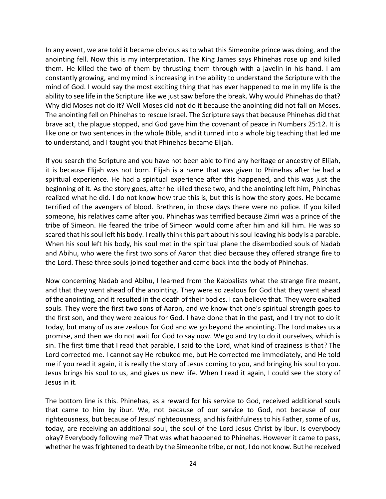In any event, we are told it became obvious as to what this Simeonite prince was doing, and the anointing fell. Now this is my interpretation. The King James says Phinehas rose up and killed them. He killed the two of them by thrusting them through with a javelin in his hand. I am constantly growing, and my mind is increasing in the ability to understand the Scripture with the mind of God. I would say the most exciting thing that has ever happened to me in my life is the ability to see life in the Scripture like we just saw before the break. Why would Phinehas do that? Why did Moses not do it? Well Moses did not do it because the anointing did not fall on Moses. The anointing fell on Phinehas to rescue Israel. The Scripture says that because Phinehas did that brave act, the plague stopped, and God gave him the covenant of peace in Numbers 25:12. It is like one or two sentences in the whole Bible, and it turned into a whole big teaching that led me to understand, and I taught you that Phinehas became Elijah.

If you search the Scripture and you have not been able to find any heritage or ancestry of Elijah, it is because Elijah was not born. Elijah is a name that was given to Phinehas after he had a spiritual experience. He had a spiritual experience after this happened, and this was just the beginning of it. As the story goes, after he killed these two, and the anointing left him, Phinehas realized what he did. I do not know how true this is, but this is how the story goes. He became terrified of the avengers of blood. Brethren, in those days there were no police. If you killed someone, his relatives came after you. Phinehas was terrified because Zimri was a prince of the tribe of Simeon. He feared the tribe of Simeon would come after him and kill him. He was so scared that his soul left his body. I really think this part about his soul leaving his body is a parable. When his soul left his body, his soul met in the spiritual plane the disembodied souls of Nadab and Abihu, who were the first two sons of Aaron that died because they offered strange fire to the Lord. These three souls joined together and came back into the body of Phinehas.

Now concerning Nadab and Abihu, I learned from the Kabbalists what the strange fire meant, and that they went ahead of the anointing. They were so zealous for God that they went ahead of the anointing, and it resulted in the death of their bodies. I can believe that. They were exalted souls. They were the first two sons of Aaron, and we know that one's spiritual strength goes to the first son, and they were zealous for God. I have done that in the past, and I try not to do it today, but many of us are zealous for God and we go beyond the anointing. The Lord makes us a promise, and then we do not wait for God to say now. We go and try to do it ourselves, which is sin. The first time that I read that parable, I said to the Lord, what kind of craziness is that? The Lord corrected me. I cannot say He rebuked me, but He corrected me immediately, and He told me if you read it again, it is really the story of Jesus coming to you, and bringing his soul to you. Jesus brings his soul to us, and gives us new life. When I read it again, I could see the story of Jesus in it.

The bottom line is this. Phinehas, as a reward for his service to God, received additional souls that came to him by ibur. We, not because of our service to God, not because of our righteousness, but because of Jesus' righteousness, and his faithfulness to his Father, some of us, today, are receiving an additional soul, the soul of the Lord Jesus Christ by ibur. Is everybody okay? Everybody following me? That was what happened to Phinehas. However it came to pass, whether he was frightened to death by the Simeonite tribe, or not, I do not know. But he received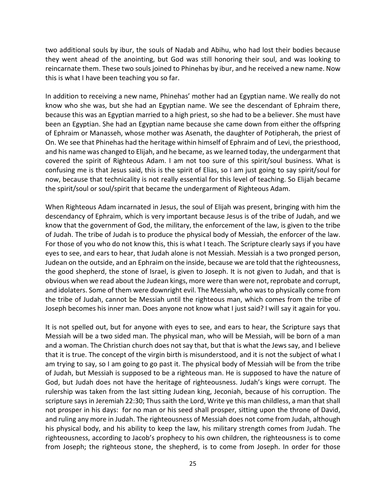two additional souls by ibur, the souls of Nadab and Abihu, who had lost their bodies because they went ahead of the anointing, but God was still honoring their soul, and was looking to reincarnate them. These two souls joined to Phinehas by ibur, and he received a new name. Now this is what I have been teaching you so far.

In addition to receiving a new name, Phinehas' mother had an Egyptian name. We really do not know who she was, but she had an Egyptian name. We see the descendant of Ephraim there, because this was an Egyptian married to a high priest, so she had to be a believer. She must have been an Egyptian. She had an Egyptian name because she came down from either the offspring of Ephraim or Manasseh, whose mother was Asenath, the daughter of Potipherah, the priest of On. We see that Phinehas had the heritage within himself of Ephraim and of Levi, the priesthood, and his name was changed to Elijah, and he became, as we learned today, the undergarment that covered the spirit of Righteous Adam. I am not too sure of this spirit/soul business. What is confusing me is that Jesus said, this is the spirit of Elias, so I am just going to say spirit/soul for now, because that technicality is not really essential for this level of teaching. So Elijah became the spirit/soul or soul/spirit that became the undergarment of Righteous Adam.

When Righteous Adam incarnated in Jesus, the soul of Elijah was present, bringing with him the descendancy of Ephraim, which is very important because Jesus is of the tribe of Judah, and we know that the government of God, the military, the enforcement of the law, is given to the tribe of Judah. The tribe of Judah is to produce the physical body of Messiah, the enforcer of the law. For those of you who do not know this, this is what I teach. The Scripture clearly says if you have eyes to see, and ears to hear, that Judah alone is not Messiah. Messiah is a two pronged person, Judean on the outside, and an Ephraim on the inside, because we are told that the righteousness, the good shepherd, the stone of Israel, is given to Joseph. It is not given to Judah, and that is obvious when we read about the Judean kings, more were than were not, reprobate and corrupt, and idolaters. Some of them were downright evil. The Messiah, who was to physically come from the tribe of Judah, cannot be Messiah until the righteous man, which comes from the tribe of Joseph becomes his inner man. Does anyone not know what I just said? I will say it again for you.

It is not spelled out, but for anyone with eyes to see, and ears to hear, the Scripture says that Messiah will be a two sided man. The physical man, who will be Messiah, will be born of a man and a woman. The Christian church does not say that, but that is what the Jews say, and I believe that it is true. The concept of the virgin birth is misunderstood, and it is not the subject of what I am trying to say, so I am going to go past it. The physical body of Messiah will be from the tribe of Judah, but Messiah is supposed to be a righteous man. He is supposed to have the nature of God, but Judah does not have the heritage of righteousness. Judah's kings were corrupt. The rulership was taken from the last sitting Judean king, Jeconiah, because of his corruption. The scripture says in Jeremiah 22:30; Thus saith the Lord, Write ye this man childless, a man that shall not prosper in his days: for no man or his seed shall prosper, sitting upon the throne of David, and ruling any more in Judah. The righteousness of Messiah does not come from Judah, although his physical body, and his ability to keep the law, his military strength comes from Judah. The righteousness, according to Jacob's prophecy to his own children, the righteousness is to come from Joseph; the righteous stone, the shepherd, is to come from Joseph. In order for those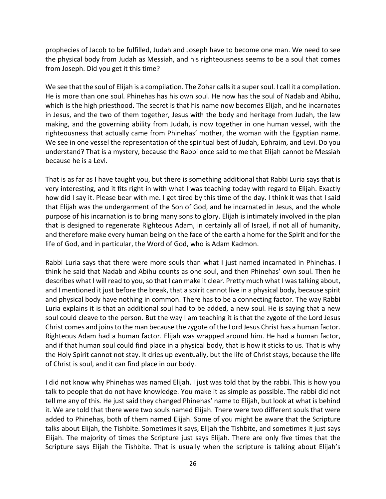prophecies of Jacob to be fulfilled, Judah and Joseph have to become one man. We need to see the physical body from Judah as Messiah, and his righteousness seems to be a soul that comes from Joseph. Did you get it this time?

We see that the soul of Elijah is a compilation. The Zohar calls it a super soul. I call it a compilation. He is more than one soul. Phinehas has his own soul. He now has the soul of Nadab and Abihu, which is the high priesthood. The secret is that his name now becomes Elijah, and he incarnates in Jesus, and the two of them together, Jesus with the body and heritage from Judah, the law making, and the governing ability from Judah, is now together in one human vessel, with the righteousness that actually came from Phinehas' mother, the woman with the Egyptian name. We see in one vessel the representation of the spiritual best of Judah, Ephraim, and Levi. Do you understand? That is a mystery, because the Rabbi once said to me that Elijah cannot be Messiah because he is a Levi.

That is as far as I have taught you, but there is something additional that Rabbi Luria says that is very interesting, and it fits right in with what I was teaching today with regard to Elijah. Exactly how did I say it. Please bear with me. I get tired by this time of the day. I think it was that I said that Elijah was the undergarment of the Son of God, and he incarnated in Jesus, and the whole purpose of his incarnation is to bring many sons to glory. Elijah is intimately involved in the plan that is designed to regenerate Righteous Adam, in certainly all of Israel, if not all of humanity, and therefore make every human being on the face of the earth a home for the Spirit and for the life of God, and in particular, the Word of God, who is Adam Kadmon.

Rabbi Luria says that there were more souls than what I just named incarnated in Phinehas. I think he said that Nadab and Abihu counts as one soul, and then Phinehas' own soul. Then he describes what I will read to you, so that I can make it clear. Pretty much what I was talking about, and I mentioned it just before the break, that a spirit cannot live in a physical body, because spirit and physical body have nothing in common. There has to be a connecting factor. The way Rabbi Luria explains it is that an additional soul had to be added, a new soul. He is saying that a new soul could cleave to the person. But the way I am teaching it is that the zygote of the Lord Jesus Christ comes and joins to the man because the zygote of the Lord Jesus Christ has a human factor. Righteous Adam had a human factor. Elijah was wrapped around him. He had a human factor, and if that human soul could find place in a physical body, that is how it sticks to us. That is why the Holy Spirit cannot not stay. It dries up eventually, but the life of Christ stays, because the life of Christ is soul, and it can find place in our body.

I did not know why Phinehas was named Elijah. I just was told that by the rabbi. This is how you talk to people that do not have knowledge. You make it as simple as possible. The rabbi did not tell me any of this. He just said they changed Phinehas' name to Elijah, but look at what is behind it. We are told that there were two souls named Elijah. There were two different souls that were added to Phinehas, both of them named Elijah. Some of you might be aware that the Scripture talks about Elijah, the Tishbite. Sometimes it says, Elijah the Tishbite, and sometimes it just says Elijah. The majority of times the Scripture just says Elijah. There are only five times that the Scripture says Elijah the Tishbite. That is usually when the scripture is talking about Elijah's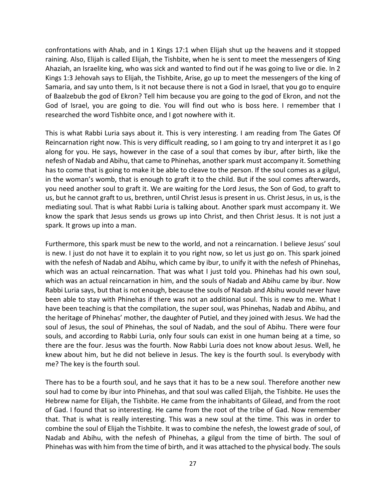confrontations with Ahab, and in 1 Kings 17:1 when Elijah shut up the heavens and it stopped raining. Also, Elijah is called Elijah, the Tishbite, when he is sent to meet the messengers of King Ahaziah, an Israelite king, who was sick and wanted to find out if he was going to live or die. In 2 Kings 1:3 Jehovah says to Elijah, the Tishbite, Arise, go up to meet the messengers of the king of Samaria, and say unto them, Is it not because there is not a God in Israel, that you go to enquire of Baalzebub the god of Ekron? Tell him because you are going to the god of Ekron, and not the God of Israel, you are going to die. You will find out who is boss here. I remember that I researched the word Tishbite once, and I got nowhere with it.

This is what Rabbi Luria says about it. This is very interesting. I am reading from The Gates Of Reincarnation right now. This is very difficult reading, so I am going to try and interpret it as I go along for you. He says, however in the case of a soul that comes by ibur, after birth, like the nefesh of Nadab and Abihu, that came to Phinehas, another spark must accompany it. Something has to come that is going to make it be able to cleave to the person. If the soul comes as a gilgul, in the woman's womb, that is enough to graft it to the child. But if the soul comes afterwards, you need another soul to graft it. We are waiting for the Lord Jesus, the Son of God, to graft to us, but he cannot graft to us, brethren, until Christ Jesus is present in us. Christ Jesus, in us, is the mediating soul. That is what Rabbi Luria is talking about. Another spark must accompany it. We know the spark that Jesus sends us grows up into Christ, and then Christ Jesus. It is not just a spark. It grows up into a man.

Furthermore, this spark must be new to the world, and not a reincarnation. I believe Jesus' soul is new. I just do not have it to explain it to you right now, so let us just go on. This spark joined with the nefesh of Nadab and Abihu, which came by ibur, to unify it with the nefesh of Phinehas, which was an actual reincarnation. That was what I just told you. Phinehas had his own soul, which was an actual reincarnation in him, and the souls of Nadab and Abihu came by ibur. Now Rabbi Luria says, but that is not enough, because the souls of Nadab and Abihu would never have been able to stay with Phinehas if there was not an additional soul. This is new to me. What I have been teaching is that the compilation, the super soul, was Phinehas, Nadab and Abihu, and the heritage of Phinehas' mother, the daughter of Putiel, and they joined with Jesus. We had the soul of Jesus, the soul of Phinehas, the soul of Nadab, and the soul of Abihu. There were four souls, and according to Rabbi Luria, only four souls can exist in one human being at a time, so there are the four. Jesus was the fourth. Now Rabbi Luria does not know about Jesus. Well, he knew about him, but he did not believe in Jesus. The key is the fourth soul. Is everybody with me? The key is the fourth soul.

There has to be a fourth soul, and he says that it has to be a new soul. Therefore another new soul had to come by ibur into Phinehas, and that soul was called Elijah, the Tishbite. He uses the Hebrew name for Elijah, the Tishbite. He came from the inhabitants of Gilead, and from the root of Gad. I found that so interesting. He came from the root of the tribe of Gad. Now remember that. That is what is really interesting. This was a new soul at the time. This was in order to combine the soul of Elijah the Tishbite. It was to combine the nefesh, the lowest grade of soul, of Nadab and Abihu, with the nefesh of Phinehas, a gilgul from the time of birth. The soul of Phinehas was with him from the time of birth, and it was attached to the physical body. The souls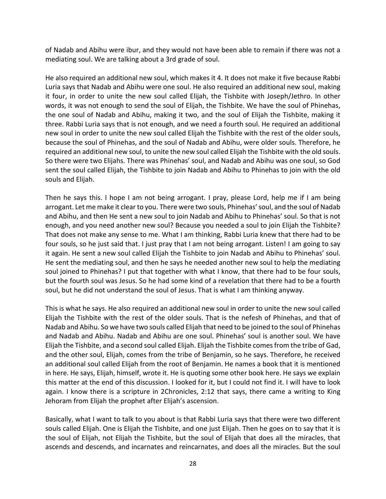of Nadab and Abihu were ibur, and they would not have been able to remain if there was not a mediating soul. We are talking about a 3rd grade of soul.

He also required an additional new soul, which makes it 4. It does not make it five because Rabbi Luria says that Nadab and Abihu were one soul. He also required an additional new soul, making it four, in order to unite the new soul called Elijah, the Tishbite with Joseph/Jethro. In other words, it was not enough to send the soul of Elijah, the Tishbite. We have the soul of Phinehas, the one soul of Nadab and Abihu, making it two, and the soul of Elijah the Tishbite, making it three. Rabbi Luria says that is not enough, and we need a fourth soul. He required an additional new soul in order to unite the new soul called Elijah the Tishbite with the rest of the older souls, because the soul of Phinehas, and the soul of Nadab and Abihu, were older souls. Therefore, he required an additional new soul, to unite the new soul called Elijah the Tishbite with the old souls. So there were two Elijahs. There was Phinehas' soul, and Nadab and Abihu was one soul, so God sent the soul called Elijah, the Tishbite to join Nadab and Abihu to Phinehas to join with the old souls and Elijah.

Then he says this. I hope I am not being arrogant. I pray, please Lord, help me if I am being arrogant. Let me make it clear to you. There were two souls, Phinehas' soul, and the soul of Nadab and Abihu, and then He sent a new soul to join Nadab and Abihu to Phinehas' soul. So that is not enough, and you need another new soul? Because you needed a soul to join Elijah the Tishbite? That does not make any sense to me. What I am thinking, Rabbi Luria knew that there had to be four souls, so he just said that. I just pray that I am not being arrogant. Listen! I am going to say it again. He sent a new soul called Elijah the Tishbite to join Nadab and Abihu to Phinehas' soul. He sent the mediating soul, and then he says he needed another new soul to help the mediating soul joined to Phinehas? I put that together with what I know, that there had to be four souls, but the fourth soul was Jesus. So he had some kind of a revelation that there had to be a fourth soul, but he did not understand the soul of Jesus. That is what I am thinking anyway.

This is what he says. He also required an additional new soul in order to unite the new soul called Elijah the Tishbite with the rest of the older souls. That is the nefesh of Phinehas, and that of Nadab and Abihu. So we have two souls called Elijah that need to be joined to the soul of Phinehas and Nadab and Abihu. Nadab and Abihu are one soul. Phinehas' soul is another soul. We have Elijah the Tishbite, and a second soul called Elijah. Elijah the Tishbite comes from the tribe of Gad, and the other soul, Elijah, comes from the tribe of Benjamin, so he says. Therefore, he received an additional soul called Elijah from the root of Benjamin. He names a book that it is mentioned in here. He says, Elijah, himself, wrote it. He is quoting some other book here. He says we explain this matter at the end of this discussion. I looked for it, but I could not find it. I will have to look again. I know there is a scripture in 2Chronicles, 2:12 that says, there came a writing to King Jehoram from Elijah the prophet after Elijah's ascension.

Basically, what I want to talk to you about is that Rabbi Luria says that there were two different souls called Elijah. One is Elijah the Tishbite, and one just Elijah. Then he goes on to say that it is the soul of Elijah, not Elijah the Tishbite, but the soul of Elijah that does all the miracles, that ascends and descends, and incarnates and reincarnates, and does all the miracles. But the soul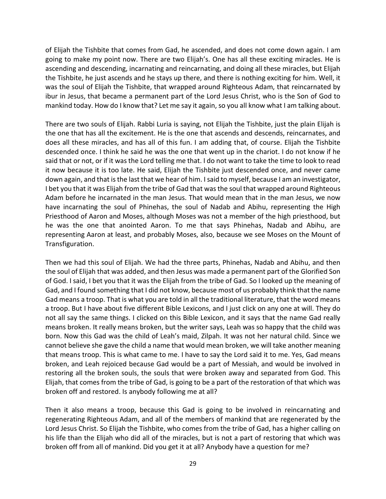of Elijah the Tishbite that comes from Gad, he ascended, and does not come down again. I am going to make my point now. There are two Elijah's. One has all these exciting miracles. He is ascending and descending, incarnating and reincarnating, and doing all these miracles, but Elijah the Tishbite, he just ascends and he stays up there, and there is nothing exciting for him. Well, it was the soul of Elijah the Tishbite, that wrapped around Righteous Adam, that reincarnated by ibur in Jesus, that became a permanent part of the Lord Jesus Christ, who is the Son of God to mankind today. How do I know that? Let me say it again, so you all know what I am talking about.

There are two souls of Elijah. Rabbi Luria is saying, not Elijah the Tishbite, just the plain Elijah is the one that has all the excitement. He is the one that ascends and descends, reincarnates, and does all these miracles, and has all of this fun. I am adding that, of course. Elijah the Tishbite descended once. I think he said he was the one that went up in the chariot. I do not know if he said that or not, or if it was the Lord telling me that. I do not want to take the time to look to read it now because it is too late. He said, Elijah the Tishbite just descended once, and never came down again, and that is the last that we hear of him. I said to myself, because I am an investigator, I bet you that it was Elijah from the tribe of Gad that was the soul that wrapped around Righteous Adam before he incarnated in the man Jesus. That would mean that in the man Jesus, we now have incarnating the soul of Phinehas, the soul of Nadab and Abihu, representing the High Priesthood of Aaron and Moses, although Moses was not a member of the high priesthood, but he was the one that anointed Aaron. To me that says Phinehas, Nadab and Abihu, are representing Aaron at least, and probably Moses, also, because we see Moses on the Mount of Transfiguration.

Then we had this soul of Elijah. We had the three parts, Phinehas, Nadab and Abihu, and then the soul of Elijah that was added, and then Jesus was made a permanent part of the Glorified Son of God. I said, I bet you that it was the Elijah from the tribe of Gad. So I looked up the meaning of Gad, and I found something that I did not know, because most of us probably think that the name Gad means a troop. That is what you are told in all the traditional literature, that the word means a troop. But I have about five different Bible Lexicons, and I just click on any one at will. They do not all say the same things. I clicked on this Bible Lexicon, and it says that the name Gad really means broken. It really means broken, but the writer says, Leah was so happy that the child was born. Now this Gad was the child of Leah's maid, Zilpah. It was not her natural child. Since we cannot believe she gave the child a name that would mean broken, we will take another meaning that means troop. This is what came to me. I have to say the Lord said it to me. Yes, Gad means broken, and Leah rejoiced because Gad would be a part of Messiah, and would be involved in restoring all the broken souls, the souls that were broken away and separated from God. This Elijah, that comes from the tribe of Gad, is going to be a part of the restoration of that which was broken off and restored. Is anybody following me at all?

Then it also means a troop, because this Gad is going to be involved in reincarnating and regenerating Righteous Adam, and all of the members of mankind that are regenerated by the Lord Jesus Christ. So Elijah the Tishbite, who comes from the tribe of Gad, has a higher calling on his life than the Elijah who did all of the miracles, but is not a part of restoring that which was broken off from all of mankind. Did you get it at all? Anybody have a question for me?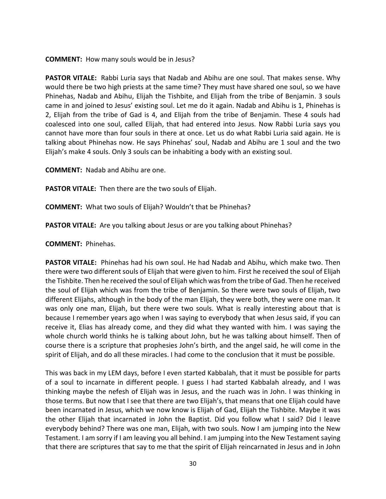**COMMENT:** How many souls would be in Jesus?

**PASTOR VITALE:** Rabbi Luria says that Nadab and Abihu are one soul. That makes sense. Why would there be two high priests at the same time? They must have shared one soul, so we have Phinehas, Nadab and Abihu, Elijah the Tishbite, and Elijah from the tribe of Benjamin. 3 souls came in and joined to Jesus' existing soul. Let me do it again. Nadab and Abihu is 1, Phinehas is 2, Elijah from the tribe of Gad is 4, and Elijah from the tribe of Benjamin. These 4 souls had coalesced into one soul, called Elijah, that had entered into Jesus. Now Rabbi Luria says you cannot have more than four souls in there at once. Let us do what Rabbi Luria said again. He is talking about Phinehas now. He says Phinehas' soul, Nadab and Abihu are 1 soul and the two Elijah's make 4 souls. Only 3 souls can be inhabiting a body with an existing soul.

**COMMENT:** Nadab and Abihu are one.

**PASTOR VITALE:** Then there are the two souls of Elijah.

**COMMENT:** What two souls of Elijah? Wouldn't that be Phinehas?

**PASTOR VITALE:** Are you talking about Jesus or are you talking about Phinehas?

**COMMENT:** Phinehas.

**PASTOR VITALE:** Phinehas had his own soul. He had Nadab and Abihu, which make two. Then there were two different souls of Elijah that were given to him. First he received the soul of Elijah the Tishbite. Then he received the soul of Elijah which was from the tribe of Gad. Then he received the soul of Elijah which was from the tribe of Benjamin. So there were two souls of Elijah, two different Elijahs, although in the body of the man Elijah, they were both, they were one man. It was only one man, Elijah, but there were two souls. What is really interesting about that is because I remember years ago when I was saying to everybody that when Jesus said, if you can receive it, Elias has already come, and they did what they wanted with him. I was saying the whole church world thinks he is talking about John, but he was talking about himself. Then of course there is a scripture that prophesies John's birth, and the angel said, he will come in the spirit of Elijah, and do all these miracles. I had come to the conclusion that it must be possible.

This was back in my LEM days, before I even started Kabbalah, that it must be possible for parts of a soul to incarnate in different people. I guess I had started Kabbalah already, and I was thinking maybe the nefesh of Elijah was in Jesus, and the ruach was in John. I was thinking in those terms. But now that I see that there are two Elijah's, that means that one Elijah could have been incarnated in Jesus, which we now know is Elijah of Gad, Elijah the Tishbite. Maybe it was the other Elijah that incarnated in John the Baptist. Did you follow what I said? Did I leave everybody behind? There was one man, Elijah, with two souls. Now I am jumping into the New Testament. I am sorry if I am leaving you all behind. I am jumping into the New Testament saying that there are scriptures that say to me that the spirit of Elijah reincarnated in Jesus and in John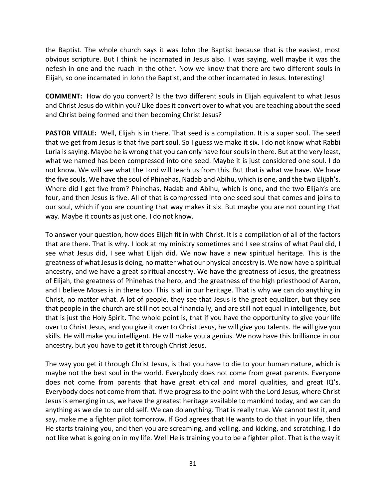the Baptist. The whole church says it was John the Baptist because that is the easiest, most obvious scripture. But I think he incarnated in Jesus also. I was saying, well maybe it was the nefesh in one and the ruach in the other. Now we know that there are two different souls in Elijah, so one incarnated in John the Baptist, and the other incarnated in Jesus. Interesting!

**COMMENT:** How do you convert? Is the two different souls in Elijah equivalent to what Jesus and Christ Jesus do within you? Like does it convert over to what you are teaching about the seed and Christ being formed and then becoming Christ Jesus?

**PASTOR VITALE:** Well, Elijah is in there. That seed is a compilation. It is a super soul. The seed that we get from Jesus is that five part soul. So I guess we make it six. I do not know what Rabbi Luria is saying. Maybe he is wrong that you can only have four souls in there. But at the very least, what we named has been compressed into one seed. Maybe it is just considered one soul. I do not know. We will see what the Lord will teach us from this. But that is what we have. We have the five souls. We have the soul of Phinehas, Nadab and Abihu, which is one, and the two Elijah's. Where did I get five from? Phinehas, Nadab and Abihu, which is one, and the two Elijah's are four, and then Jesus is five. All of that is compressed into one seed soul that comes and joins to our soul, which if you are counting that way makes it six. But maybe you are not counting that way. Maybe it counts as just one. I do not know.

To answer your question, how does Elijah fit in with Christ. It is a compilation of all of the factors that are there. That is why. I look at my ministry sometimes and I see strains of what Paul did, I see what Jesus did, I see what Elijah did. We now have a new spiritual heritage. This is the greatness of what Jesus is doing, no matter what our physical ancestry is. We now have a spiritual ancestry, and we have a great spiritual ancestry. We have the greatness of Jesus, the greatness of Elijah, the greatness of Phinehas the hero, and the greatness of the high priesthood of Aaron, and I believe Moses is in there too. This is all in our heritage. That is why we can do anything in Christ, no matter what. A lot of people, they see that Jesus is the great equalizer, but they see that people in the church are still not equal financially, and are still not equal in intelligence, but that is just the Holy Spirit. The whole point is, that if you have the opportunity to give your life over to Christ Jesus, and you give it over to Christ Jesus, he will give you talents. He will give you skills. He will make you intelligent. He will make you a genius. We now have this brilliance in our ancestry, but you have to get it through Christ Jesus.

The way you get it through Christ Jesus, is that you have to die to your human nature, which is maybe not the best soul in the world. Everybody does not come from great parents. Everyone does not come from parents that have great ethical and moral qualities, and great IQ's. Everybody does not come from that. If we progress to the point with the Lord Jesus, where Christ Jesus is emerging in us, we have the greatest heritage available to mankind today, and we can do anything as we die to our old self. We can do anything. That is really true. We cannot test it, and say, make me a fighter pilot tomorrow. If God agrees that He wants to do that in your life, then He starts training you, and then you are screaming, and yelling, and kicking, and scratching. I do not like what is going on in my life. Well He is training you to be a fighter pilot. That is the way it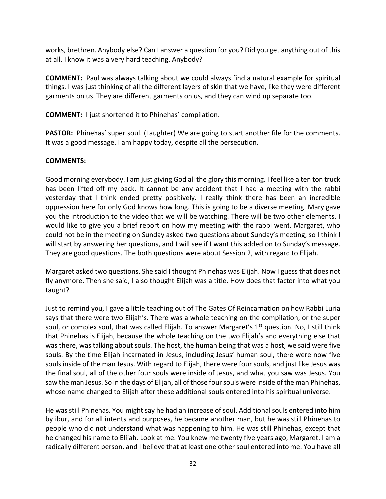works, brethren. Anybody else? Can I answer a question for you? Did you get anything out of this at all. I know it was a very hard teaching. Anybody?

**COMMENT:** Paul was always talking about we could always find a natural example for spiritual things. I was just thinking of all the different layers of skin that we have, like they were different garments on us. They are different garments on us, and they can wind up separate too.

**COMMENT:** I just shortened it to Phinehas' compilation.

**PASTOR:** Phinehas' super soul. (Laughter) We are going to start another file for the comments. It was a good message. I am happy today, despite all the persecution.

## **COMMENTS:**

Good morning everybody. I am just giving God all the glory this morning. I feel like a ten ton truck has been lifted off my back. It cannot be any accident that I had a meeting with the rabbi yesterday that I think ended pretty positively. I really think there has been an incredible oppression here for only God knows how long. This is going to be a diverse meeting. Mary gave you the introduction to the video that we will be watching. There will be two other elements. I would like to give you a brief report on how my meeting with the rabbi went. Margaret, who could not be in the meeting on Sunday asked two questions about Sunday's meeting, so I think I will start by answering her questions, and I will see if I want this added on to Sunday's message. They are good questions. The both questions were about Session 2, with regard to Elijah.

Margaret asked two questions. She said I thought Phinehas was Elijah. Now I guess that does not fly anymore. Then she said, I also thought Elijah was a title. How does that factor into what you taught?

Just to remind you, I gave a little teaching out of The Gates Of Reincarnation on how Rabbi Luria says that there were two Elijah's. There was a whole teaching on the compilation, or the super soul, or complex soul, that was called Elijah. To answer Margaret's  $1<sup>st</sup>$  question. No, I still think that Phinehas is Elijah, because the whole teaching on the two Elijah's and everything else that was there, was talking about souls. The host, the human being that was a host, we said were five souls. By the time Elijah incarnated in Jesus, including Jesus' human soul, there were now five souls inside of the man Jesus. With regard to Elijah, there were four souls, and just like Jesus was the final soul, all of the other four souls were inside of Jesus, and what you saw was Jesus. You saw the man Jesus. So in the days of Elijah, all of those four souls were inside of the man Phinehas, whose name changed to Elijah after these additional souls entered into his spiritual universe.

He was still Phinehas. You might say he had an increase of soul. Additional souls entered into him by ibur, and for all intents and purposes, he became another man, but he was still Phinehas to people who did not understand what was happening to him. He was still Phinehas, except that he changed his name to Elijah. Look at me. You knew me twenty five years ago, Margaret. I am a radically different person, and I believe that at least one other soul entered into me. You have all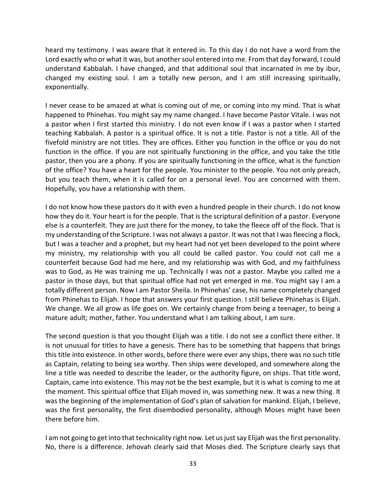heard my testimony. I was aware that it entered in. To this day I do not have a word from the Lord exactly who or what it was, but another soul entered into me. From that day forward, I could understand Kabbalah. I have changed, and that additional soul that incarnated in me by ibur, changed my existing soul. I am a totally new person, and I am still increasing spiritually, exponentially.

I never cease to be amazed at what is coming out of me, or coming into my mind. That is what happened to Phinehas. You might say my name changed. I have become Pastor Vitale. I was not a pastor when I first started this ministry. I do not even know if I was a pastor when I started teaching Kabbalah. A pastor is a spiritual office. It is not a title. Pastor is not a title. All of the fivefold ministry are not titles. They are offices. Either you function in the office or you do not function in the office. If you are not spiritually functioning in the office, and you take the title pastor, then you are a phony. If you are spiritually functioning in the office, what is the function of the office? You have a heart for the people. You minister to the people. You not only preach, but you teach them, when it is called for on a personal level. You are concerned with them. Hopefully, you have a relationship with them.

I do not know how these pastors do it with even a hundred people in their church. I do not know how they do it. Your heart is for the people. That is the scriptural definition of a pastor. Everyone else is a counterfeit. They are just there for the money, to take the fleece off of the flock. That is my understanding of the Scripture. I was not always a pastor. It was not that I was fleecing a flock, but I was a teacher and a prophet, but my heart had not yet been developed to the point where my ministry, my relationship with you all could be called pastor. You could not call me a counterfeit because God had me here, and my relationship was with God, and my faithfulness was to God, as He was training me up. Technically I was not a pastor. Maybe you called me a pastor in those days, but that spiritual office had not yet emerged in me. You might say I am a totally different person. Now I am Pastor Sheila. In Phinehas' case, his name completely changed from Phinehas to Elijah. I hope that answers your first question. I still believe Phinehas is Elijah. We change. We all grow as life goes on. We certainly change from being a teenager, to being a mature adult; mother, father. You understand what I am talking about, I am sure.

The second question is that you thought Elijah was a title. I do not see a conflict there either. It is not unusual for titles to have a genesis. There has to be something that happens that brings this title into existence. In other words, before there were ever any ships, there was no such title as Captain, relating to being sea worthy. Then ships were developed, and somewhere along the line a title was needed to describe the leader, or the authority figure, on ships. That title word, Captain, came into existence. This may not be the best example, but it is what is coming to me at the moment. This spiritual office that Elijah moved in, was something new. It was a new thing. It was the beginning of the implementation of God's plan of salvation for mankind. Elijah, I believe, was the first personality, the first disembodied personality, although Moses might have been there before him.

I am not going to get into that technicality right now. Let us just say Elijah was the first personality. No, there is a difference. Jehovah clearly said that Moses died. The Scripture clearly says that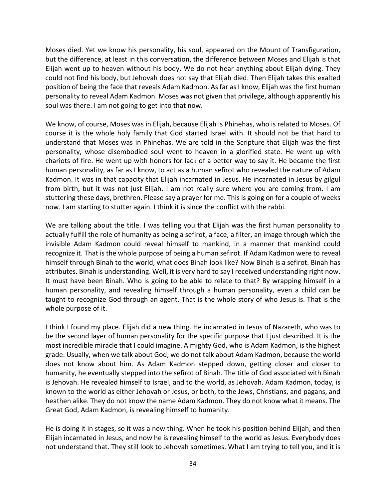Moses died. Yet we know his personality, his soul, appeared on the Mount of Transfiguration, but the difference, at least in this conversation, the difference between Moses and Elijah is that Elijah went up to heaven without his body. We do not hear anything about Elijah dying. They could not find his body, but Jehovah does not say that Elijah died. Then Elijah takes this exalted position of being the face that reveals Adam Kadmon. As far as I know, Elijah was the first human personality to reveal Adam Kadmon. Moses was not given that privilege, although apparently his soul was there. I am not going to get into that now.

We know, of course, Moses was in Elijah, because Elijah is Phinehas, who is related to Moses. Of course it is the whole holy family that God started Israel with. It should not be that hard to understand that Moses was in Phinehas. We are told in the Scripture that Elijah was the first personality, whose disembodied soul went to heaven in a glorified state. He went up with chariots of fire. He went up with honors for lack of a better way to say it. He became the first human personality, as far as I know, to act as a human sefirot who revealed the nature of Adam Kadmon. It was in that capacity that Elijah incarnated in Jesus. He incarnated in Jesus by gilgul from birth, but it was not just Elijah. I am not really sure where you are coming from. I am stuttering these days, brethren. Please say a prayer for me. This is going on for a couple of weeks now. I am starting to stutter again. I think it is since the conflict with the rabbi.

We are talking about the title. I was telling you that Elijah was the first human personality to actually fulfill the role of humanity as being a sefirot, a face, a filter, an image through which the invisible Adam Kadmon could reveal himself to mankind, in a manner that mankind could recognize it. That is the whole purpose of being a human sefirot. If Adam Kadmon were to reveal himself through Binah to the world, what does Binah look like? Now Binah is a sefirot. Binah has attributes. Binah is understanding. Well, it is very hard to say I received understanding right now. It must have been Binah. Who is going to be able to relate to that? By wrapping himself in a human personality, and revealing himself through a human personality, even a child can be taught to recognize God through an agent. That is the whole story of who Jesus is. That is the whole purpose of it.

I think I found my place. Elijah did a new thing. He incarnated in Jesus of Nazareth, who was to be the second layer of human personality for the specific purpose that I just described. It is the most incredible miracle that I could imagine. Almighty God, who is Adam Kadmon, is the highest grade. Usually, when we talk about God, we do not talk about Adam Kadmon, because the world does not know about him. As Adam Kadmon stepped down, getting closer and closer to humanity, he eventually stepped into the sefirot of Binah. The title of God associated with Binah is Jehovah. He revealed himself to Israel, and to the world, as Jehovah. Adam Kadmon, today, is known to the world as either Jehovah or Jesus, or both, to the Jews, Christians, and pagans, and heathen alike. They do not know the name Adam Kadmon. They do not know what it means. The Great God, Adam Kadmon, is revealing himself to humanity.

He is doing it in stages, so it was a new thing. When he took his position behind Elijah, and then Elijah incarnated in Jesus, and now he is revealing himself to the world as Jesus. Everybody does not understand that. They still look to Jehovah sometimes. What I am trying to tell you, and it is